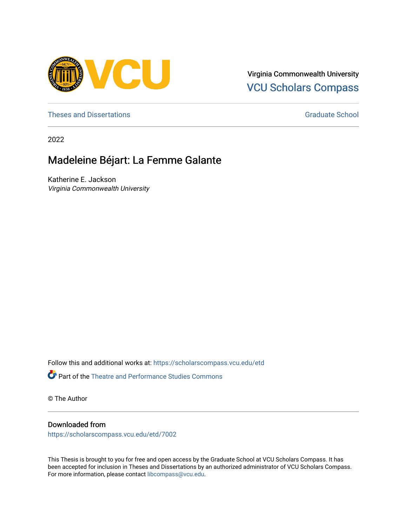

Virginia Commonwealth University [VCU Scholars Compass](https://scholarscompass.vcu.edu/) 

[Theses and Dissertations](https://scholarscompass.vcu.edu/etd) [Graduate School](https://scholarscompass.vcu.edu/gradschool) and Dissertations Graduate School and Dissertations Graduate School and Dissertations Graduate School and Dissertations Graduate School and Dissertations Graduate School and Dissert

2022

# Madeleine Béjart: La Femme Galante

Katherine E. Jackson Virginia Commonwealth University

Follow this and additional works at: [https://scholarscompass.vcu.edu/etd](https://scholarscompass.vcu.edu/etd?utm_source=scholarscompass.vcu.edu%2Fetd%2F7002&utm_medium=PDF&utm_campaign=PDFCoverPages) 

Part of the [Theatre and Performance Studies Commons](https://network.bepress.com/hgg/discipline/552?utm_source=scholarscompass.vcu.edu%2Fetd%2F7002&utm_medium=PDF&utm_campaign=PDFCoverPages) 

© The Author

### Downloaded from

[https://scholarscompass.vcu.edu/etd/7002](https://scholarscompass.vcu.edu/etd/7002?utm_source=scholarscompass.vcu.edu%2Fetd%2F7002&utm_medium=PDF&utm_campaign=PDFCoverPages) 

This Thesis is brought to you for free and open access by the Graduate School at VCU Scholars Compass. It has been accepted for inclusion in Theses and Dissertations by an authorized administrator of VCU Scholars Compass. For more information, please contact [libcompass@vcu.edu](mailto:libcompass@vcu.edu).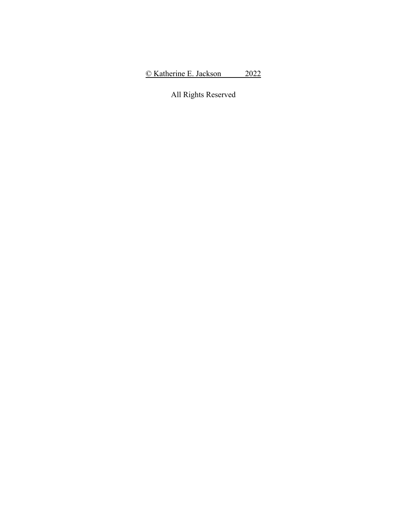All Rights Reserved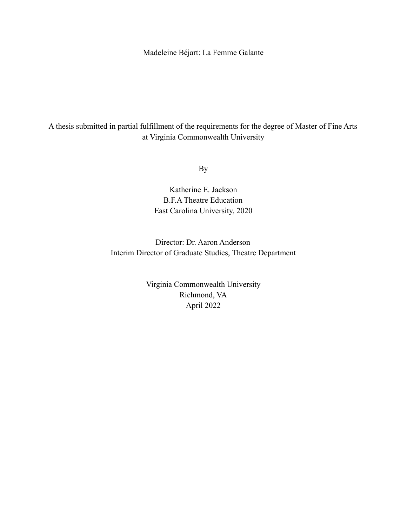Madeleine Béjart: La Femme Galante

A thesis submitted in partial fulfillment of the requirements for the degree of Master of Fine Arts at Virginia Commonwealth University

By

Katherine E. Jackson B.F.A Theatre Education East Carolina University, 2020

Director: Dr. Aaron Anderson Interim Director of Graduate Studies, Theatre Department

> Virginia Commonwealth University Richmond, VA April 2022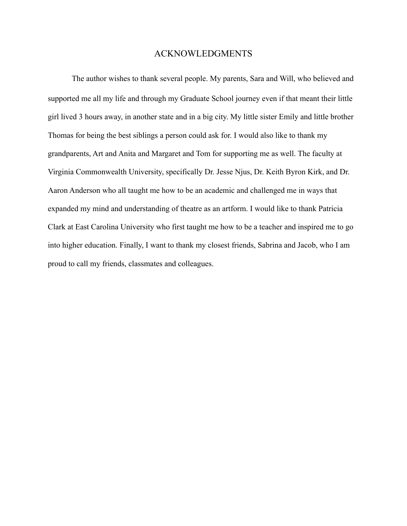## ACKNOWLEDGMENTS

The author wishes to thank several people. My parents, Sara and Will, who believed and supported me all my life and through my Graduate School journey even if that meant their little girl lived 3 hours away, in another state and in a big city. My little sister Emily and little brother Thomas for being the best siblings a person could ask for. I would also like to thank my grandparents, Art and Anita and Margaret and Tom for supporting me as well. The faculty at Virginia Commonwealth University, specifically Dr. Jesse Njus, Dr. Keith Byron Kirk, and Dr. Aaron Anderson who all taught me how to be an academic and challenged me in ways that expanded my mind and understanding of theatre as an artform. I would like to thank Patricia Clark at East Carolina University who first taught me how to be a teacher and inspired me to go into higher education. Finally, I want to thank my closest friends, Sabrina and Jacob, who I am proud to call my friends, classmates and colleagues.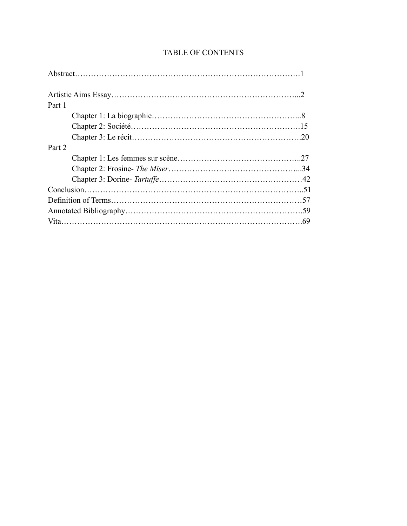| Part 1 |  |
|--------|--|
|        |  |
|        |  |
|        |  |
| Part 2 |  |
|        |  |
|        |  |
|        |  |
|        |  |
|        |  |
|        |  |
|        |  |
|        |  |

# TABLE OF CONTENTS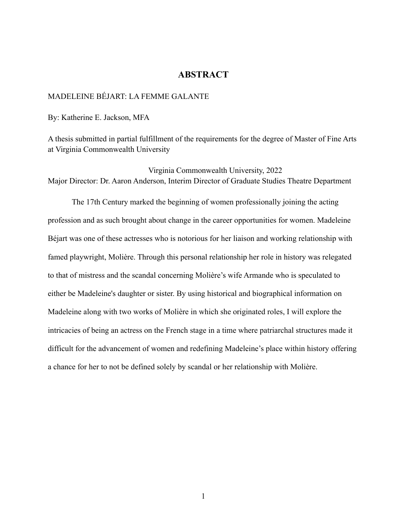# **ABSTRACT**

# MADELEINE BÉJART: LA FEMME GALANTE

By: Katherine E. Jackson, MFA

A thesis submitted in partial fulfillment of the requirements for the degree of Master of Fine Arts at Virginia Commonwealth University

Virginia Commonwealth University, 2022 Major Director: Dr. Aaron Anderson, Interim Director of Graduate Studies Theatre Department

The 17th Century marked the beginning of women professionally joining the acting profession and as such brought about change in the career opportunities for women. Madeleine Béjart was one of these actresses who is notorious for her liaison and working relationship with famed playwright, Molière. Through this personal relationship her role in history was relegated to that of mistress and the scandal concerning Molière's wife Armande who is speculated to either be Madeleine's daughter or sister. By using historical and biographical information on Madeleine along with two works of Molière in which she originated roles, I will explore the intricacies of being an actress on the French stage in a time where patriarchal structures made it difficult for the advancement of women and redefining Madeleine's place within history offering a chance for her to not be defined solely by scandal or her relationship with Molière.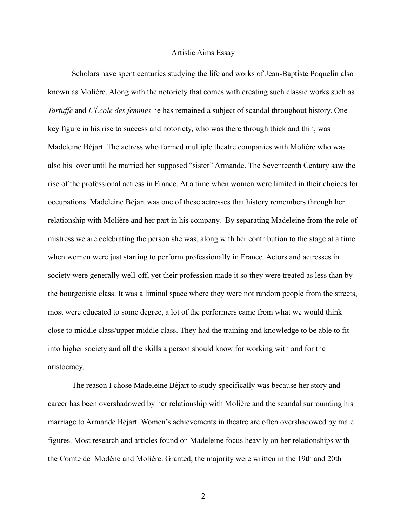### Artistic Aims Essay

Scholars have spent centuries studying the life and works of Jean-Baptiste Poquelin also known as Molière. Along with the notoriety that comes with creating such classic works such as *Tartuffe* and *L'École des femmes* he has remained a subject of scandal throughout history. One key figure in his rise to success and notoriety, who was there through thick and thin, was Madeleine Béjart. The actress who formed multiple theatre companies with Molière who was also his lover until he married her supposed "sister" Armande. The Seventeenth Century saw the rise of the professional actress in France. At a time when women were limited in their choices for occupations. Madeleine Béjart was one of these actresses that history remembers through her relationship with Molière and her part in his company. By separating Madeleine from the role of mistress we are celebrating the person she was, along with her contribution to the stage at a time when women were just starting to perform professionally in France. Actors and actresses in society were generally well-off, yet their profession made it so they were treated as less than by the bourgeoisie class. It was a liminal space where they were not random people from the streets, most were educated to some degree, a lot of the performers came from what we would think close to middle class/upper middle class. They had the training and knowledge to be able to fit into higher society and all the skills a person should know for working with and for the aristocracy.

The reason I chose Madeleine Béjart to study specifically was because her story and career has been overshadowed by her relationship with Molière and the scandal surrounding his marriage to Armande Béjart. Women's achievements in theatre are often overshadowed by male figures. Most research and articles found on Madeleine focus heavily on her relationships with the Comte de Modène and Molière. Granted, the majority were written in the 19th and 20th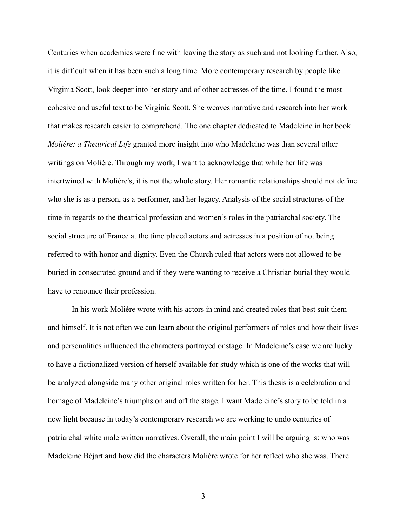Centuries when academics were fine with leaving the story as such and not looking further. Also, it is difficult when it has been such a long time. More contemporary research by people like Virginia Scott, look deeper into her story and of other actresses of the time. I found the most cohesive and useful text to be Virginia Scott. She weaves narrative and research into her work that makes research easier to comprehend. The one chapter dedicated to Madeleine in her book *Molière: a Theatrical Life* granted more insight into who Madeleine was than several other writings on Molière. Through my work, I want to acknowledge that while her life was intertwined with Molière's, it is not the whole story. Her romantic relationships should not define who she is as a person, as a performer, and her legacy. Analysis of the social structures of the time in regards to the theatrical profession and women's roles in the patriarchal society. The social structure of France at the time placed actors and actresses in a position of not being referred to with honor and dignity. Even the Church ruled that actors were not allowed to be buried in consecrated ground and if they were wanting to receive a Christian burial they would have to renounce their profession.

In his work Molière wrote with his actors in mind and created roles that best suit them and himself. It is not often we can learn about the original performers of roles and how their lives and personalities influenced the characters portrayed onstage. In Madeleine's case we are lucky to have a fictionalized version of herself available for study which is one of the works that will be analyzed alongside many other original roles written for her. This thesis is a celebration and homage of Madeleine's triumphs on and off the stage. I want Madeleine's story to be told in a new light because in today's contemporary research we are working to undo centuries of patriarchal white male written narratives. Overall, the main point I will be arguing is: who was Madeleine Béjart and how did the characters Molière wrote for her reflect who she was. There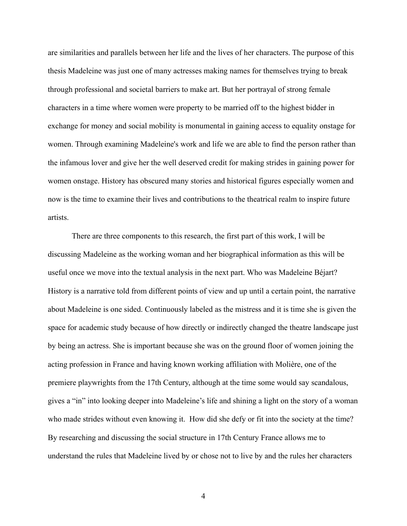are similarities and parallels between her life and the lives of her characters. The purpose of this thesis Madeleine was just one of many actresses making names for themselves trying to break through professional and societal barriers to make art. But her portrayal of strong female characters in a time where women were property to be married off to the highest bidder in exchange for money and social mobility is monumental in gaining access to equality onstage for women. Through examining Madeleine's work and life we are able to find the person rather than the infamous lover and give her the well deserved credit for making strides in gaining power for women onstage. History has obscured many stories and historical figures especially women and now is the time to examine their lives and contributions to the theatrical realm to inspire future artists.

There are three components to this research, the first part of this work, I will be discussing Madeleine as the working woman and her biographical information as this will be useful once we move into the textual analysis in the next part. Who was Madeleine Béjart? History is a narrative told from different points of view and up until a certain point, the narrative about Madeleine is one sided. Continuously labeled as the mistress and it is time she is given the space for academic study because of how directly or indirectly changed the theatre landscape just by being an actress. She is important because she was on the ground floor of women joining the acting profession in France and having known working affiliation with Molière, one of the premiere playwrights from the 17th Century, although at the time some would say scandalous, gives a "in" into looking deeper into Madeleine's life and shining a light on the story of a woman who made strides without even knowing it. How did she defy or fit into the society at the time? By researching and discussing the social structure in 17th Century France allows me to understand the rules that Madeleine lived by or chose not to live by and the rules her characters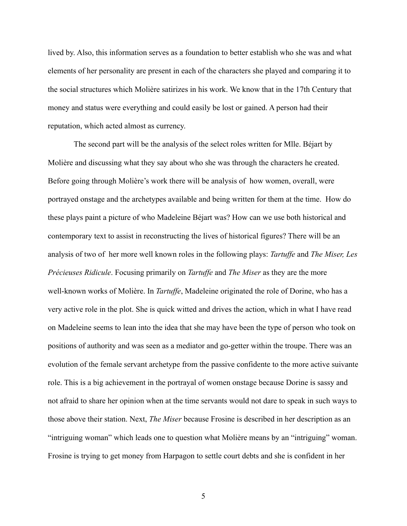lived by. Also, this information serves as a foundation to better establish who she was and what elements of her personality are present in each of the characters she played and comparing it to the social structures which Molière satirizes in his work. We know that in the 17th Century that money and status were everything and could easily be lost or gained. A person had their reputation, which acted almost as currency.

The second part will be the analysis of the select roles written for Mlle. Béjart by Molière and discussing what they say about who she was through the characters he created. Before going through Molière's work there will be analysis of how women, overall, were portrayed onstage and the archetypes available and being written for them at the time. How do these plays paint a picture of who Madeleine Béjart was? How can we use both historical and contemporary text to assist in reconstructing the lives of historical figures? There will be an analysis of two of her more well known roles in the following plays: *Tartuffe* and *The Miser, Les Précieuses Ridicule*. Focusing primarily on *Tartuffe* and *The Miser* as they are the more well-known works of Molière. In *Tartuffe*, Madeleine originated the role of Dorine, who has a very active role in the plot. She is quick witted and drives the action, which in what I have read on Madeleine seems to lean into the idea that she may have been the type of person who took on positions of authority and was seen as a mediator and go-getter within the troupe. There was an evolution of the female servant archetype from the passive confidente to the more active suivante role. This is a big achievement in the portrayal of women onstage because Dorine is sassy and not afraid to share her opinion when at the time servants would not dare to speak in such ways to those above their station. Next, *The Miser* because Frosine is described in her description as an "intriguing woman" which leads one to question what Molière means by an "intriguing" woman. Frosine is trying to get money from Harpagon to settle court debts and she is confident in her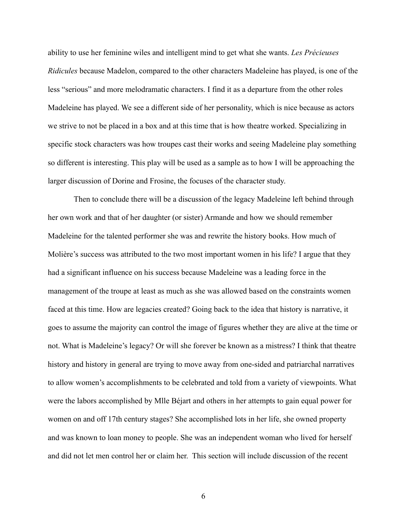ability to use her feminine wiles and intelligent mind to get what she wants. *Les Précieuses Ridicules* because Madelon, compared to the other characters Madeleine has played, is one of the less "serious" and more melodramatic characters. I find it as a departure from the other roles Madeleine has played. We see a different side of her personality, which is nice because as actors we strive to not be placed in a box and at this time that is how theatre worked. Specializing in specific stock characters was how troupes cast their works and seeing Madeleine play something so different is interesting. This play will be used as a sample as to how I will be approaching the larger discussion of Dorine and Frosine, the focuses of the character study.

Then to conclude there will be a discussion of the legacy Madeleine left behind through her own work and that of her daughter (or sister) Armande and how we should remember Madeleine for the talented performer she was and rewrite the history books. How much of Molière's success was attributed to the two most important women in his life? I argue that they had a significant influence on his success because Madeleine was a leading force in the management of the troupe at least as much as she was allowed based on the constraints women faced at this time. How are legacies created? Going back to the idea that history is narrative, it goes to assume the majority can control the image of figures whether they are alive at the time or not. What is Madeleine's legacy? Or will she forever be known as a mistress? I think that theatre history and history in general are trying to move away from one-sided and patriarchal narratives to allow women's accomplishments to be celebrated and told from a variety of viewpoints. What were the labors accomplished by Mlle Béjart and others in her attempts to gain equal power for women on and off 17th century stages? She accomplished lots in her life, she owned property and was known to loan money to people. She was an independent woman who lived for herself and did not let men control her or claim her. This section will include discussion of the recent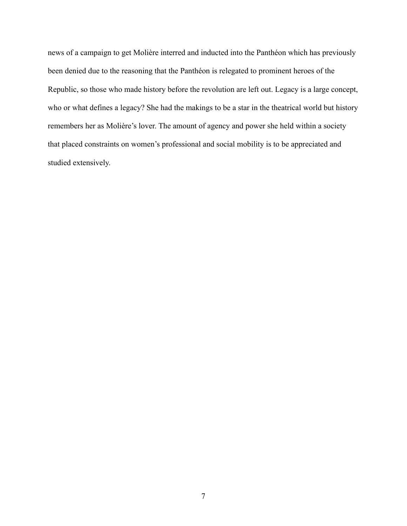news of a campaign to get Molière interred and inducted into the Panthéon which has previously been denied due to the reasoning that the Panthéon is relegated to prominent heroes of the Republic, so those who made history before the revolution are left out. Legacy is a large concept, who or what defines a legacy? She had the makings to be a star in the theatrical world but history remembers her as Molière's lover. The amount of agency and power she held within a society that placed constraints on women's professional and social mobility is to be appreciated and studied extensively.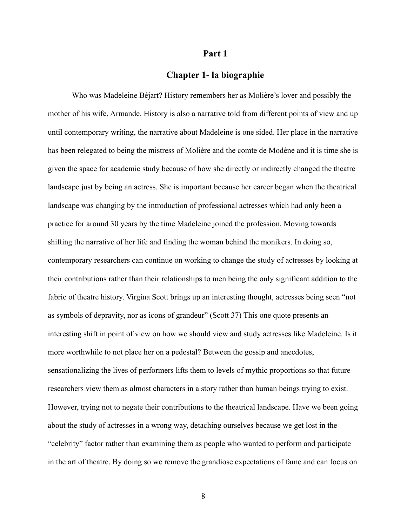### **Part 1**

# **Chapter 1- la biographie**

Who was Madeleine Béjart? History remembers her as Molière's lover and possibly the mother of his wife, Armande. History is also a narrative told from different points of view and up until contemporary writing, the narrative about Madeleine is one sided. Her place in the narrative has been relegated to being the mistress of Molière and the comte de Modène and it is time she is given the space for academic study because of how she directly or indirectly changed the theatre landscape just by being an actress. She is important because her career began when the theatrical landscape was changing by the introduction of professional actresses which had only been a practice for around 30 years by the time Madeleine joined the profession. Moving towards shifting the narrative of her life and finding the woman behind the monikers. In doing so, contemporary researchers can continue on working to change the study of actresses by looking at their contributions rather than their relationships to men being the only significant addition to the fabric of theatre history. Virgina Scott brings up an interesting thought, actresses being seen "not as symbols of depravity, nor as icons of grandeur" (Scott 37) This one quote presents an interesting shift in point of view on how we should view and study actresses like Madeleine. Is it more worthwhile to not place her on a pedestal? Between the gossip and anecdotes, sensationalizing the lives of performers lifts them to levels of mythic proportions so that future researchers view them as almost characters in a story rather than human beings trying to exist. However, trying not to negate their contributions to the theatrical landscape. Have we been going about the study of actresses in a wrong way, detaching ourselves because we get lost in the "celebrity" factor rather than examining them as people who wanted to perform and participate in the art of theatre. By doing so we remove the grandiose expectations of fame and can focus on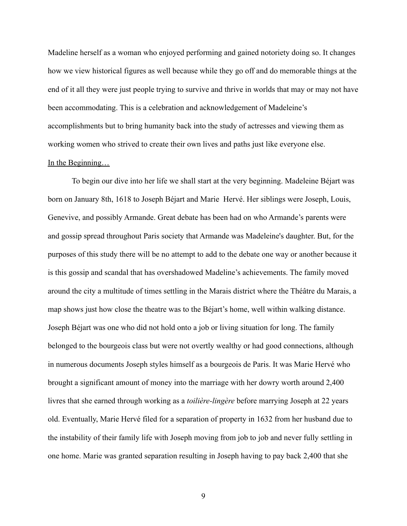Madeline herself as a woman who enjoyed performing and gained notoriety doing so. It changes how we view historical figures as well because while they go off and do memorable things at the end of it all they were just people trying to survive and thrive in worlds that may or may not have been accommodating. This is a celebration and acknowledgement of Madeleine's accomplishments but to bring humanity back into the study of actresses and viewing them as working women who strived to create their own lives and paths just like everyone else.

#### In the Beginning…

To begin our dive into her life we shall start at the very beginning. Madeleine Béjart was born on January 8th, 1618 to Joseph Béjart and Marie Hervé. Her siblings were Joseph, Louis, Genevive, and possibly Armande. Great debate has been had on who Armande's parents were and gossip spread throughout Paris society that Armande was Madeleine's daughter. But, for the purposes of this study there will be no attempt to add to the debate one way or another because it is this gossip and scandal that has overshadowed Madeline's achievements. The family moved around the city a multitude of times settling in the Marais district where the Théâtre du Marais, a map shows just how close the theatre was to the Béjart's home, well within walking distance. Joseph Béjart was one who did not hold onto a job or living situation for long. The family belonged to the bourgeois class but were not overtly wealthy or had good connections, although in numerous documents Joseph styles himself as a bourgeois de Paris. It was Marie Hervé who brought a significant amount of money into the marriage with her dowry worth around 2,400 livres that she earned through working as a *toilière-lingère* before marrying Joseph at 22 years old. Eventually, Marie Hervé filed for a separation of property in 1632 from her husband due to the instability of their family life with Joseph moving from job to job and never fully settling in one home. Marie was granted separation resulting in Joseph having to pay back 2,400 that she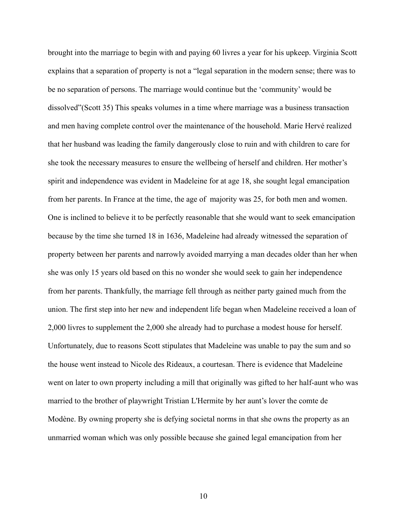brought into the marriage to begin with and paying 60 livres a year for his upkeep. Virginia Scott explains that a separation of property is not a "legal separation in the modern sense; there was to be no separation of persons. The marriage would continue but the 'community' would be dissolved"(Scott 35) This speaks volumes in a time where marriage was a business transaction and men having complete control over the maintenance of the household. Marie Hervé realized that her husband was leading the family dangerously close to ruin and with children to care for she took the necessary measures to ensure the wellbeing of herself and children. Her mother's spirit and independence was evident in Madeleine for at age 18, she sought legal emancipation from her parents. In France at the time, the age of majority was 25, for both men and women. One is inclined to believe it to be perfectly reasonable that she would want to seek emancipation because by the time she turned 18 in 1636, Madeleine had already witnessed the separation of property between her parents and narrowly avoided marrying a man decades older than her when she was only 15 years old based on this no wonder she would seek to gain her independence from her parents. Thankfully, the marriage fell through as neither party gained much from the union. The first step into her new and independent life began when Madeleine received a loan of 2,000 livres to supplement the 2,000 she already had to purchase a modest house for herself. Unfortunately, due to reasons Scott stipulates that Madeleine was unable to pay the sum and so the house went instead to Nicole des Rideaux, a courtesan. There is evidence that Madeleine went on later to own property including a mill that originally was gifted to her half-aunt who was married to the brother of playwright Tristian L'Hermite by her aunt's lover the comte de Modène. By owning property she is defying societal norms in that she owns the property as an unmarried woman which was only possible because she gained legal emancipation from her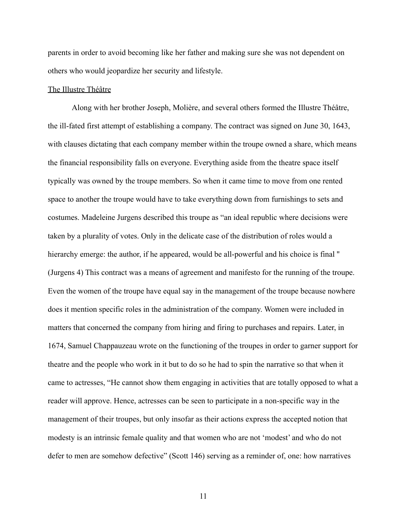parents in order to avoid becoming like her father and making sure she was not dependent on others who would jeopardize her security and lifestyle.

### The Illustre Théâtre

Along with her brother Joseph, Molière, and several others formed the Illustre Théâtre, the ill-fated first attempt of establishing a company. The contract was signed on June 30, 1643, with clauses dictating that each company member within the troupe owned a share, which means the financial responsibility falls on everyone. Everything aside from the theatre space itself typically was owned by the troupe members. So when it came time to move from one rented space to another the troupe would have to take everything down from furnishings to sets and costumes. Madeleine Jurgens described this troupe as "an ideal republic where decisions were taken by a plurality of votes. Only in the delicate case of the distribution of roles would a hierarchy emerge: the author, if he appeared, would be all-powerful and his choice is final '' (Jurgens 4) This contract was a means of agreement and manifesto for the running of the troupe. Even the women of the troupe have equal say in the management of the troupe because nowhere does it mention specific roles in the administration of the company. Women were included in matters that concerned the company from hiring and firing to purchases and repairs. Later, in 1674, Samuel Chappauzeau wrote on the functioning of the troupes in order to garner support for theatre and the people who work in it but to do so he had to spin the narrative so that when it came to actresses, "He cannot show them engaging in activities that are totally opposed to what a reader will approve. Hence, actresses can be seen to participate in a non-specific way in the management of their troupes, but only insofar as their actions express the accepted notion that modesty is an intrinsic female quality and that women who are not 'modest' and who do not defer to men are somehow defective" (Scott 146) serving as a reminder of, one: how narratives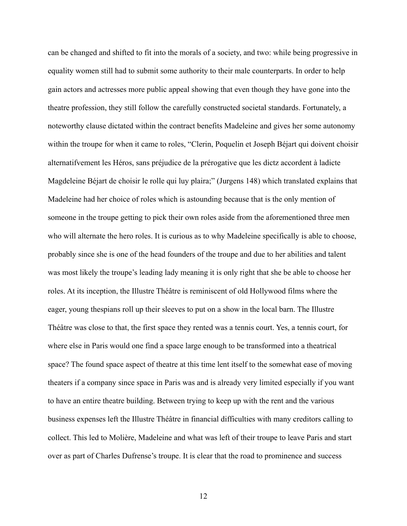can be changed and shifted to fit into the morals of a society, and two: while being progressive in equality women still had to submit some authority to their male counterparts. In order to help gain actors and actresses more public appeal showing that even though they have gone into the theatre profession, they still follow the carefully constructed societal standards. Fortunately, a noteworthy clause dictated within the contract benefits Madeleine and gives her some autonomy within the troupe for when it came to roles, "Clerin, Poquelin et Joseph Béjart qui doivent choisir alternatifvement les Héros, sans préjudice de la prérogative que les dictz accordent à ladicte Magdeleine Béjart de choisir le rolle qui luy plaira;" (Jurgens 148) which translated explains that Madeleine had her choice of roles which is astounding because that is the only mention of someone in the troupe getting to pick their own roles aside from the aforementioned three men who will alternate the hero roles. It is curious as to why Madeleine specifically is able to choose, probably since she is one of the head founders of the troupe and due to her abilities and talent was most likely the troupe's leading lady meaning it is only right that she be able to choose her roles. At its inception, the Illustre Théâtre is reminiscent of old Hollywood films where the eager, young thespians roll up their sleeves to put on a show in the local barn. The Illustre Théâtre was close to that, the first space they rented was a tennis court. Yes, a tennis court, for where else in Paris would one find a space large enough to be transformed into a theatrical space? The found space aspect of theatre at this time lent itself to the somewhat ease of moving theaters if a company since space in Paris was and is already very limited especially if you want to have an entire theatre building. Between trying to keep up with the rent and the various business expenses left the Illustre Théâtre in financial difficulties with many creditors calling to collect. This led to Molière, Madeleine and what was left of their troupe to leave Paris and start over as part of Charles Dufrense's troupe. It is clear that the road to prominence and success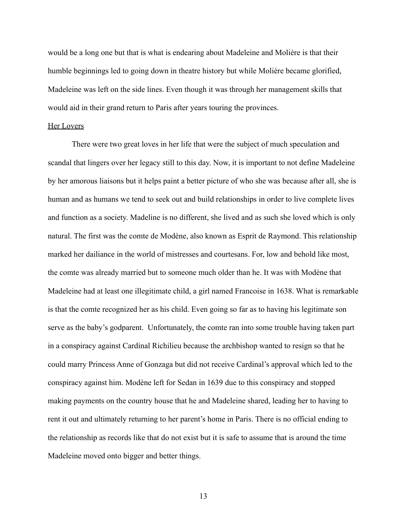would be a long one but that is what is endearing about Madeleine and Molière is that their humble beginnings led to going down in theatre history but while Molière became glorified, Madeleine was left on the side lines. Even though it was through her management skills that would aid in their grand return to Paris after years touring the provinces.

#### Her Lovers

There were two great loves in her life that were the subject of much speculation and scandal that lingers over her legacy still to this day. Now, it is important to not define Madeleine by her amorous liaisons but it helps paint a better picture of who she was because after all, she is human and as humans we tend to seek out and build relationships in order to live complete lives and function as a society. Madeline is no different, she lived and as such she loved which is only natural. The first was the comte de Modène, also known as Esprit de Raymond. This relationship marked her dailiance in the world of mistresses and courtesans. For, low and behold like most, the comte was already married but to someone much older than he. It was with Modène that Madeleine had at least one illegitimate child, a girl named Francoise in 1638. What is remarkable is that the comte recognized her as his child. Even going so far as to having his legitimate son serve as the baby's godparent. Unfortunately, the comte ran into some trouble having taken part in a conspiracy against Cardinal Richilieu because the archbishop wanted to resign so that he could marry Princess Anne of Gonzaga but did not receive Cardinal's approval which led to the conspiracy against him. Modène left for Sedan in 1639 due to this conspiracy and stopped making payments on the country house that he and Madeleine shared, leading her to having to rent it out and ultimately returning to her parent's home in Paris. There is no official ending to the relationship as records like that do not exist but it is safe to assume that is around the time Madeleine moved onto bigger and better things.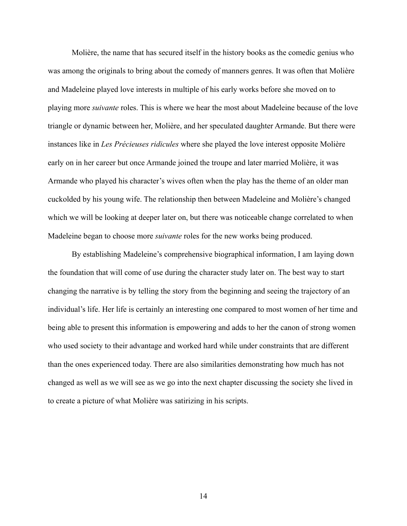Molière, the name that has secured itself in the history books as the comedic genius who was among the originals to bring about the comedy of manners genres. It was often that Molière and Madeleine played love interests in multiple of his early works before she moved on to playing more *suivante* roles. This is where we hear the most about Madeleine because of the love triangle or dynamic between her, Molière, and her speculated daughter Armande. But there were instances like in *Les Précieuses ridicules* where she played the love interest opposite Molière early on in her career but once Armande joined the troupe and later married Molière, it was Armande who played his character's wives often when the play has the theme of an older man cuckolded by his young wife. The relationship then between Madeleine and Molière's changed which we will be looking at deeper later on, but there was noticeable change correlated to when Madeleine began to choose more *suivante* roles for the new works being produced.

By establishing Madeleine's comprehensive biographical information, I am laying down the foundation that will come of use during the character study later on. The best way to start changing the narrative is by telling the story from the beginning and seeing the trajectory of an individual's life. Her life is certainly an interesting one compared to most women of her time and being able to present this information is empowering and adds to her the canon of strong women who used society to their advantage and worked hard while under constraints that are different than the ones experienced today. There are also similarities demonstrating how much has not changed as well as we will see as we go into the next chapter discussing the society she lived in to create a picture of what Molière was satirizing in his scripts.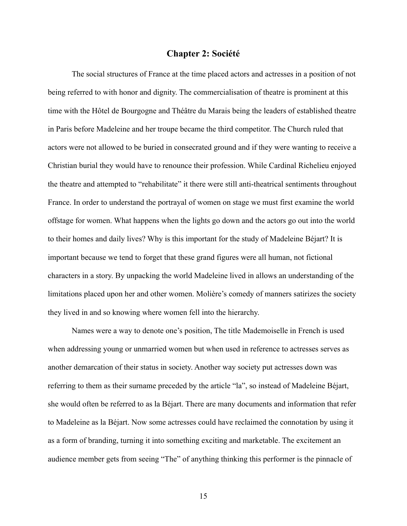### **Chapter 2: Société**

The social structures of France at the time placed actors and actresses in a position of not being referred to with honor and dignity. The commercialisation of theatre is prominent at this time with the Hôtel de Bourgogne and Théâtre du Marais being the leaders of established theatre in Paris before Madeleine and her troupe became the third competitor. The Church ruled that actors were not allowed to be buried in consecrated ground and if they were wanting to receive a Christian burial they would have to renounce their profession. While Cardinal Richelieu enjoyed the theatre and attempted to "rehabilitate" it there were still anti-theatrical sentiments throughout France. In order to understand the portrayal of women on stage we must first examine the world offstage for women. What happens when the lights go down and the actors go out into the world to their homes and daily lives? Why is this important for the study of Madeleine Béjart? It is important because we tend to forget that these grand figures were all human, not fictional characters in a story. By unpacking the world Madeleine lived in allows an understanding of the limitations placed upon her and other women. Molière's comedy of manners satirizes the society they lived in and so knowing where women fell into the hierarchy.

Names were a way to denote one's position, The title Mademoiselle in French is used when addressing young or unmarried women but when used in reference to actresses serves as another demarcation of their status in society. Another way society put actresses down was referring to them as their surname preceded by the article "la", so instead of Madeleine Béjart, she would often be referred to as la Béjart. There are many documents and information that refer to Madeleine as la Béjart. Now some actresses could have reclaimed the connotation by using it as a form of branding, turning it into something exciting and marketable. The excitement an audience member gets from seeing "The" of anything thinking this performer is the pinnacle of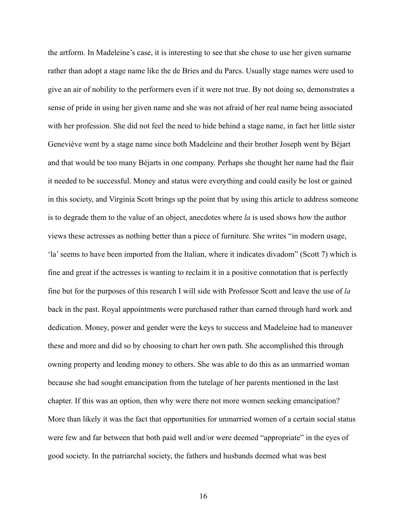the artform. In Madeleine's case, it is interesting to see that she chose to use her given surname rather than adopt a stage name like the de Bries and du Parcs. Usually stage names were used to give an air of nobility to the performers even if it were not true. By not doing so, demonstrates a sense of pride in using her given name and she was not afraid of her real name being associated with her profession. She did not feel the need to hide behind a stage name, in fact her little sister Geneviève went by a stage name since both Madeleine and their brother Joseph went by Béjart and that would be too many Béjarts in one company. Perhaps she thought her name had the flair it needed to be successful. Money and status were everything and could easily be lost or gained in this society, and Virginia Scott brings up the point that by using this article to address someone is to degrade them to the value of an object, anecdotes where *la* is used shows how the author views these actresses as nothing better than a piece of furniture. She writes "in modern usage, 'la' seems to have been imported from the Italian, where it indicates divadom" (Scott 7) which is fine and great if the actresses is wanting to reclaim it in a positive connotation that is perfectly fine but for the purposes of this research I will side with Professor Scott and leave the use of *la* back in the past. Royal appointments were purchased rather than earned through hard work and dedication. Money, power and gender were the keys to success and Madeleine had to maneuver these and more and did so by choosing to chart her own path. She accomplished this through owning property and lending money to others. She was able to do this as an unmarried woman because she had sought emancipation from the tutelage of her parents mentioned in the last chapter. If this was an option, then why were there not more women seeking emancipation? More than likely it was the fact that opportunities for unmarried women of a certain social status were few and far between that both paid well and/or were deemed "appropriate" in the eyes of good society. In the patriarchal society, the fathers and husbands deemed what was best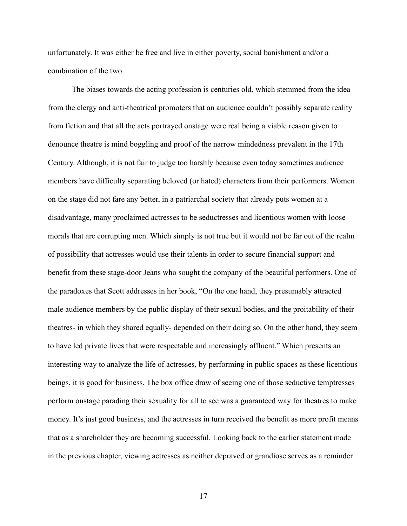unfortunately. It was either be free and live in either poverty, social banishment and/or a combination of the two.

The biases towards the acting profession is centuries old, which stemmed from the idea from the clergy and anti-theatrical promoters that an audience couldn't possibly separate reality from fiction and that all the acts portrayed onstage were real being a viable reason given to denounce theatre is mind boggling and proof of the narrow mindedness prevalent in the 17th Century. Although, it is not fair to judge too harshly because even today sometimes audience members have difficulty separating beloved (or hated) characters from their performers. Women on the stage did not fare any better, in a patriarchal society that already puts women at a disadvantage, many proclaimed actresses to be seductresses and licentious women with loose morals that are corrupting men. Which simply is not true but it would not be far out of the realm of possibility that actresses would use their talents in order to secure financial support and benefit from these stage-door Jeans who sought the company of the beautiful performers. One of the paradoxes that Scott addresses in her book, "On the one hand, they presumably attracted male audience members by the public display of their sexual bodies, and the proitability of their theatres- in which they shared equally- depended on their doing so. On the other hand, they seem to have led private lives that were respectable and increasingly affluent." Which presents an interesting way to analyze the life of actresses, by performing in public spaces as these licentious beings, it is good for business. The box office draw of seeing one of those seductive temptresses perform onstage parading their sexuality for all to see was a guaranteed way for theatres to make money. It's just good business, and the actresses in turn received the benefit as more profit means that as a shareholder they are becoming successful. Looking back to the earlier statement made in the previous chapter, viewing actresses as neither depraved or grandiose serves as a reminder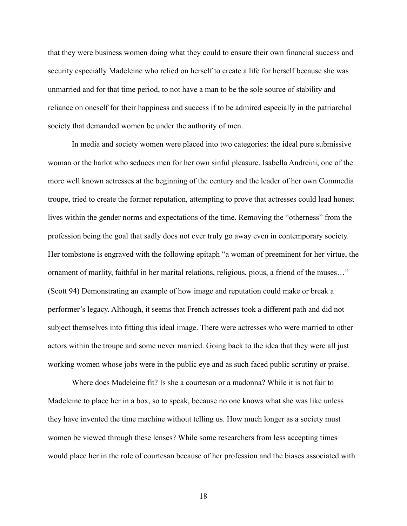that they were business women doing what they could to ensure their own financial success and security especially Madeleine who relied on herself to create a life for herself because she was unmarried and for that time period, to not have a man to be the sole source of stability and reliance on oneself for their happiness and success if to be admired especially in the patriarchal society that demanded women be under the authority of men.

In media and society women were placed into two categories: the ideal pure submissive woman or the harlot who seduces men for her own sinful pleasure. Isabella Andreini, one of the more well known actresses at the beginning of the century and the leader of her own Commedia troupe, tried to create the former reputation, attempting to prove that actresses could lead honest lives within the gender norms and expectations of the time. Removing the "otherness" from the profession being the goal that sadly does not ever truly go away even in contemporary society. Her tombstone is engraved with the following epitaph "a woman of preeminent for her virtue, the ornament of marlity, faithful in her marital relations, religious, pious, a friend of the muses…" (Scott 94) Demonstrating an example of how image and reputation could make or break a performer's legacy. Although, it seems that French actresses took a different path and did not subject themselves into fitting this ideal image. There were actresses who were married to other actors within the troupe and some never married. Going back to the idea that they were all just working women whose jobs were in the public eye and as such faced public scrutiny or praise.

Where does Madeleine fit? Is she a courtesan or a madonna? While it is not fair to Madeleine to place her in a box, so to speak, because no one knows what she was like unless they have invented the time machine without telling us. How much longer as a society must women be viewed through these lenses? While some researchers from less accepting times would place her in the role of courtesan because of her profession and the biases associated with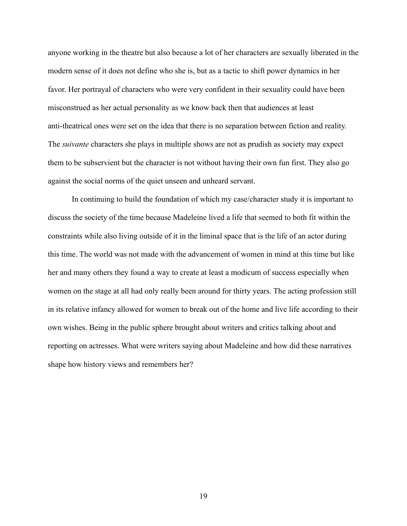anyone working in the theatre but also because a lot of her characters are sexually liberated in the modern sense of it does not define who she is, but as a tactic to shift power dynamics in her favor. Her portrayal of characters who were very confident in their sexuality could have been misconstrued as her actual personality as we know back then that audiences at least anti-theatrical ones were set on the idea that there is no separation between fiction and reality. The *suivante* characters she plays in multiple shows are not as prudish as society may expect them to be subservient but the character is not without having their own fun first. They also go against the social norms of the quiet unseen and unheard servant.

In continuing to build the foundation of which my case/character study it is important to discuss the society of the time because Madeleine lived a life that seemed to both fit within the constraints while also living outside of it in the liminal space that is the life of an actor during this time. The world was not made with the advancement of women in mind at this time but like her and many others they found a way to create at least a modicum of success especially when women on the stage at all had only really been around for thirty years. The acting profession still in its relative infancy allowed for women to break out of the home and live life according to their own wishes. Being in the public sphere brought about writers and critics talking about and reporting on actresses. What were writers saying about Madeleine and how did these narratives shape how history views and remembers her?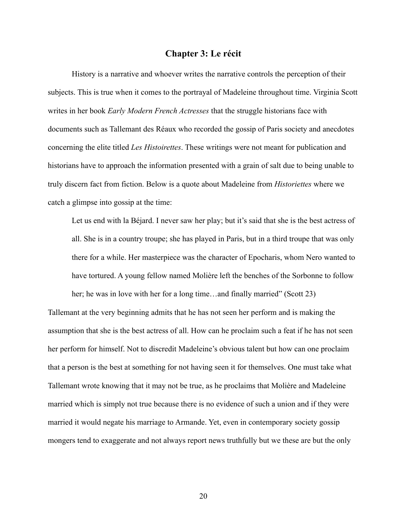### **Chapter 3: Le récit**

History is a narrative and whoever writes the narrative controls the perception of their subjects. This is true when it comes to the portrayal of Madeleine throughout time. Virginia Scott writes in her book *Early Modern French Actresses* that the struggle historians face with documents such as Tallemant des Réaux who recorded the gossip of Paris society and anecdotes concerning the elite titled *Les Histoirettes*. These writings were not meant for publication and historians have to approach the information presented with a grain of salt due to being unable to truly discern fact from fiction. Below is a quote about Madeleine from *Historiettes* where we catch a glimpse into gossip at the time:

Let us end with la Béjard. I never saw her play; but it's said that she is the best actress of all. She is in a country troupe; she has played in Paris, but in a third troupe that was only there for a while. Her masterpiece was the character of Epocharis, whom Nero wanted to have tortured. A young fellow named Molière left the benches of the Sorbonne to follow her; he was in love with her for a long time...and finally married" (Scott 23)

Tallemant at the very beginning admits that he has not seen her perform and is making the assumption that she is the best actress of all. How can he proclaim such a feat if he has not seen her perform for himself. Not to discredit Madeleine's obvious talent but how can one proclaim that a person is the best at something for not having seen it for themselves. One must take what Tallemant wrote knowing that it may not be true, as he proclaims that Molière and Madeleine married which is simply not true because there is no evidence of such a union and if they were married it would negate his marriage to Armande. Yet, even in contemporary society gossip mongers tend to exaggerate and not always report news truthfully but we these are but the only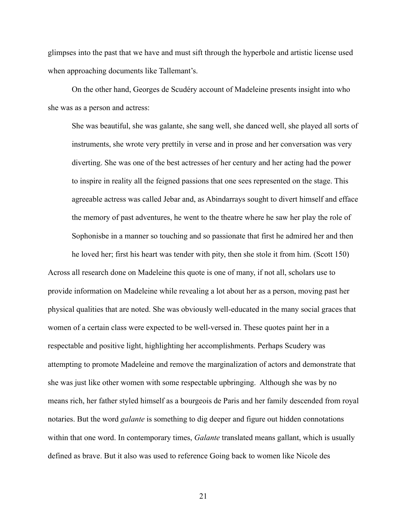glimpses into the past that we have and must sift through the hyperbole and artistic license used when approaching documents like Tallemant's.

On the other hand, Georges de Scudéry account of Madeleine presents insight into who she was as a person and actress:

She was beautiful, she was galante, she sang well, she danced well, she played all sorts of instruments, she wrote very prettily in verse and in prose and her conversation was very diverting. She was one of the best actresses of her century and her acting had the power to inspire in reality all the feigned passions that one sees represented on the stage. This agreeable actress was called Jebar and, as Abindarrays sought to divert himself and efface the memory of past adventures, he went to the theatre where he saw her play the role of Sophonisbe in a manner so touching and so passionate that first he admired her and then

he loved her; first his heart was tender with pity, then she stole it from him. (Scott 150) Across all research done on Madeleine this quote is one of many, if not all, scholars use to provide information on Madeleine while revealing a lot about her as a person, moving past her physical qualities that are noted. She was obviously well-educated in the many social graces that women of a certain class were expected to be well-versed in. These quotes paint her in a respectable and positive light, highlighting her accomplishments. Perhaps Scudery was attempting to promote Madeleine and remove the marginalization of actors and demonstrate that she was just like other women with some respectable upbringing. Although she was by no means rich, her father styled himself as a bourgeois de Paris and her family descended from royal notaries. But the word *galante* is something to dig deeper and figure out hidden connotations within that one word. In contemporary times, *Galante* translated means gallant, which is usually defined as brave. But it also was used to reference Going back to women like Nicole des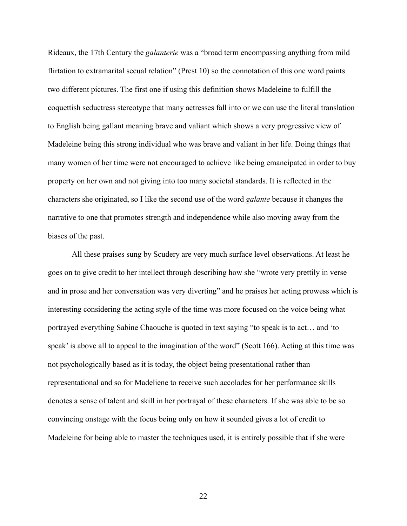Rideaux, the 17th Century the *galanterie* was a "broad term encompassing anything from mild flirtation to extramarital secual relation" (Prest 10) so the connotation of this one word paints two different pictures. The first one if using this definition shows Madeleine to fulfill the coquettish seductress stereotype that many actresses fall into or we can use the literal translation to English being gallant meaning brave and valiant which shows a very progressive view of Madeleine being this strong individual who was brave and valiant in her life. Doing things that many women of her time were not encouraged to achieve like being emancipated in order to buy property on her own and not giving into too many societal standards. It is reflected in the characters she originated, so I like the second use of the word *galante* because it changes the narrative to one that promotes strength and independence while also moving away from the biases of the past.

All these praises sung by Scudery are very much surface level observations. At least he goes on to give credit to her intellect through describing how she "wrote very prettily in verse and in prose and her conversation was very diverting" and he praises her acting prowess which is interesting considering the acting style of the time was more focused on the voice being what portrayed everything Sabine Chaouche is quoted in text saying "to speak is to act… and 'to speak' is above all to appeal to the imagination of the word" (Scott 166). Acting at this time was not psychologically based as it is today, the object being presentational rather than representational and so for Madeliene to receive such accolades for her performance skills denotes a sense of talent and skill in her portrayal of these characters. If she was able to be so convincing onstage with the focus being only on how it sounded gives a lot of credit to Madeleine for being able to master the techniques used, it is entirely possible that if she were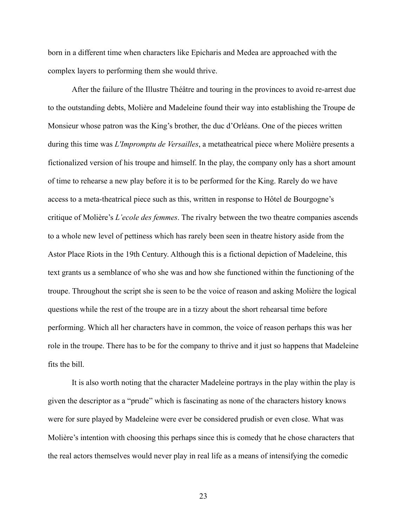born in a different time when characters like Epicharis and Medea are approached with the complex layers to performing them she would thrive.

After the failure of the Illustre Théâtre and touring in the provinces to avoid re-arrest due to the outstanding debts, Molière and Madeleine found their way into establishing the Troupe de Monsieur whose patron was the King's brother, the duc d'Orléans. One of the pieces written during this time was *L'Impromptu de Versailles*, a metatheatrical piece where Molière presents a fictionalized version of his troupe and himself. In the play, the company only has a short amount of time to rehearse a new play before it is to be performed for the King. Rarely do we have access to a meta-theatrical piece such as this, written in response to Hôtel de Bourgogne's critique of Molière's *L'ecole des femmes*. The rivalry between the two theatre companies ascends to a whole new level of pettiness which has rarely been seen in theatre history aside from the Astor Place Riots in the 19th Century. Although this is a fictional depiction of Madeleine, this text grants us a semblance of who she was and how she functioned within the functioning of the troupe. Throughout the script she is seen to be the voice of reason and asking Molière the logical questions while the rest of the troupe are in a tizzy about the short rehearsal time before performing. Which all her characters have in common, the voice of reason perhaps this was her role in the troupe. There has to be for the company to thrive and it just so happens that Madeleine fits the bill.

It is also worth noting that the character Madeleine portrays in the play within the play is given the descriptor as a "prude" which is fascinating as none of the characters history knows were for sure played by Madeleine were ever be considered prudish or even close. What was Molière's intention with choosing this perhaps since this is comedy that he chose characters that the real actors themselves would never play in real life as a means of intensifying the comedic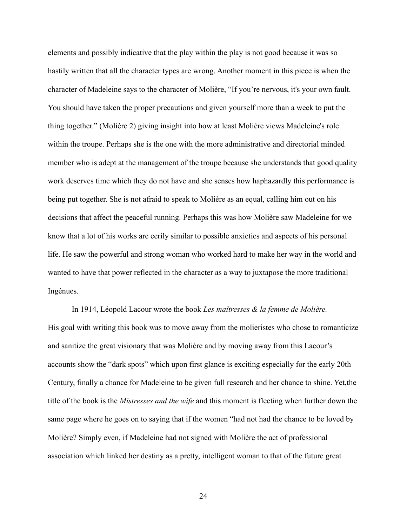elements and possibly indicative that the play within the play is not good because it was so hastily written that all the character types are wrong. Another moment in this piece is when the character of Madeleine says to the character of Molière, "If you're nervous, it's your own fault. You should have taken the proper precautions and given yourself more than a week to put the thing together." (Molière 2) giving insight into how at least Molière views Madeleine's role within the troupe. Perhaps she is the one with the more administrative and directorial minded member who is adept at the management of the troupe because she understands that good quality work deserves time which they do not have and she senses how haphazardly this performance is being put together. She is not afraid to speak to Molière as an equal, calling him out on his decisions that affect the peaceful running. Perhaps this was how Molière saw Madeleine for we know that a lot of his works are eerily similar to possible anxieties and aspects of his personal life. He saw the powerful and strong woman who worked hard to make her way in the world and wanted to have that power reflected in the character as a way to juxtapose the more traditional Ingénues.

In 1914, Léopold Lacour wrote the book *Les maîtresses & la femme de Molière.* His goal with writing this book was to move away from the molieristes who chose to romanticize and sanitize the great visionary that was Molière and by moving away from this Lacour's accounts show the "dark spots" which upon first glance is exciting especially for the early 20th Century, finally a chance for Madeleine to be given full research and her chance to shine. Yet,the title of the book is the *Mistresses and the wife* and this moment is fleeting when further down the same page where he goes on to saying that if the women "had not had the chance to be loved by Molière? Simply even, if Madeleine had not signed with Molière the act of professional association which linked her destiny as a pretty, intelligent woman to that of the future great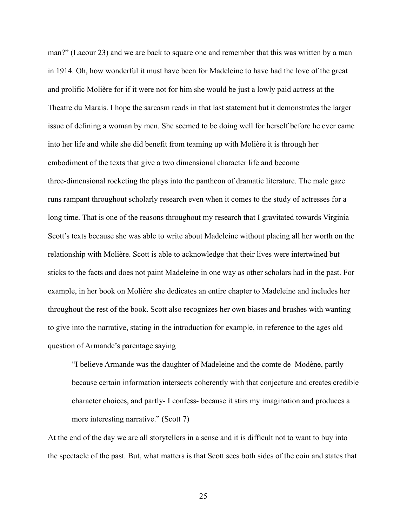man?" (Lacour 23) and we are back to square one and remember that this was written by a man in 1914. Oh, how wonderful it must have been for Madeleine to have had the love of the great and prolific Molière for if it were not for him she would be just a lowly paid actress at the Theatre du Marais. I hope the sarcasm reads in that last statement but it demonstrates the larger issue of defining a woman by men. She seemed to be doing well for herself before he ever came into her life and while she did benefit from teaming up with Molière it is through her embodiment of the texts that give a two dimensional character life and become three-dimensional rocketing the plays into the pantheon of dramatic literature. The male gaze runs rampant throughout scholarly research even when it comes to the study of actresses for a long time. That is one of the reasons throughout my research that I gravitated towards Virginia Scott's texts because she was able to write about Madeleine without placing all her worth on the relationship with Molière. Scott is able to acknowledge that their lives were intertwined but sticks to the facts and does not paint Madeleine in one way as other scholars had in the past. For example, in her book on Molière she dedicates an entire chapter to Madeleine and includes her throughout the rest of the book. Scott also recognizes her own biases and brushes with wanting to give into the narrative, stating in the introduction for example, in reference to the ages old question of Armande's parentage saying

"I believe Armande was the daughter of Madeleine and the comte de Modène, partly because certain information intersects coherently with that conjecture and creates credible character choices, and partly- I confess- because it stirs my imagination and produces a more interesting narrative." (Scott 7)

At the end of the day we are all storytellers in a sense and it is difficult not to want to buy into the spectacle of the past. But, what matters is that Scott sees both sides of the coin and states that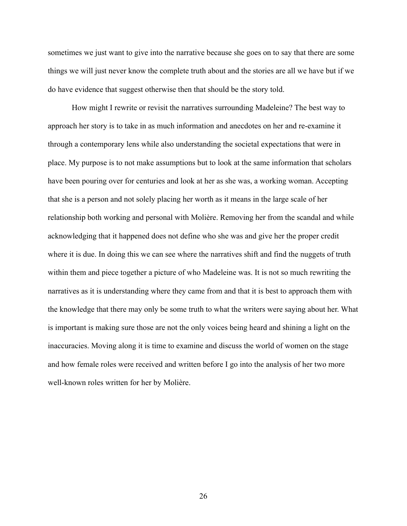sometimes we just want to give into the narrative because she goes on to say that there are some things we will just never know the complete truth about and the stories are all we have but if we do have evidence that suggest otherwise then that should be the story told.

How might I rewrite or revisit the narratives surrounding Madeleine? The best way to approach her story is to take in as much information and anecdotes on her and re-examine it through a contemporary lens while also understanding the societal expectations that were in place. My purpose is to not make assumptions but to look at the same information that scholars have been pouring over for centuries and look at her as she was, a working woman. Accepting that she is a person and not solely placing her worth as it means in the large scale of her relationship both working and personal with Molière. Removing her from the scandal and while acknowledging that it happened does not define who she was and give her the proper credit where it is due. In doing this we can see where the narratives shift and find the nuggets of truth within them and piece together a picture of who Madeleine was. It is not so much rewriting the narratives as it is understanding where they came from and that it is best to approach them with the knowledge that there may only be some truth to what the writers were saying about her. What is important is making sure those are not the only voices being heard and shining a light on the inaccuracies. Moving along it is time to examine and discuss the world of women on the stage and how female roles were received and written before I go into the analysis of her two more well-known roles written for her by Molière.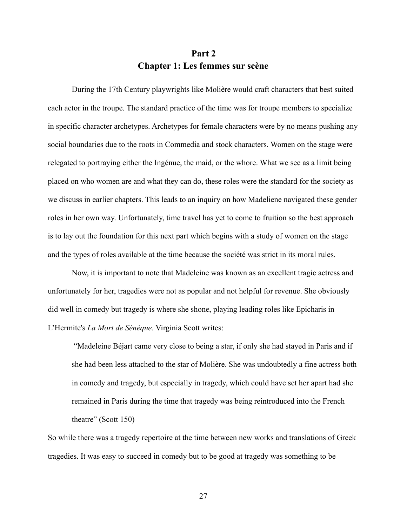# **Part 2 Chapter 1: Les femmes sur scène**

During the 17th Century playwrights like Molière would craft characters that best suited each actor in the troupe. The standard practice of the time was for troupe members to specialize in specific character archetypes. Archetypes for female characters were by no means pushing any social boundaries due to the roots in Commedia and stock characters. Women on the stage were relegated to portraying either the Ingénue, the maid, or the whore. What we see as a limit being placed on who women are and what they can do, these roles were the standard for the society as we discuss in earlier chapters. This leads to an inquiry on how Madeliene navigated these gender roles in her own way. Unfortunately, time travel has yet to come to fruition so the best approach is to lay out the foundation for this next part which begins with a study of women on the stage and the types of roles available at the time because the société was strict in its moral rules.

Now, it is important to note that Madeleine was known as an excellent tragic actress and unfortunately for her, tragedies were not as popular and not helpful for revenue. She obviously did well in comedy but tragedy is where she shone, playing leading roles like Epicharis in L'Hermite's *La Mort de Sénèque*. Virginia Scott writes:

"Madeleine Béjart came very close to being a star, if only she had stayed in Paris and if she had been less attached to the star of Molière. She was undoubtedly a fine actress both in comedy and tragedy, but especially in tragedy, which could have set her apart had she remained in Paris during the time that tragedy was being reintroduced into the French theatre" (Scott 150)

So while there was a tragedy repertoire at the time between new works and translations of Greek tragedies. It was easy to succeed in comedy but to be good at tragedy was something to be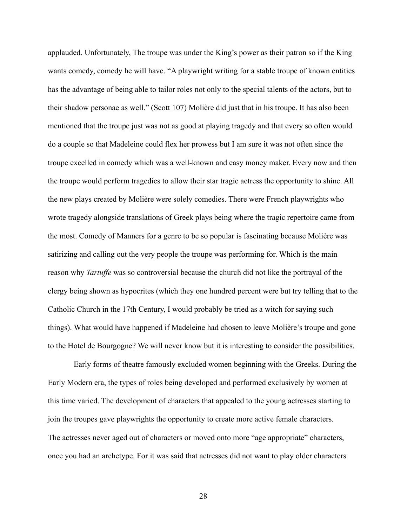applauded. Unfortunately, The troupe was under the King's power as their patron so if the King wants comedy, comedy he will have. "A playwright writing for a stable troupe of known entities has the advantage of being able to tailor roles not only to the special talents of the actors, but to their shadow personae as well." (Scott 107) Molière did just that in his troupe. It has also been mentioned that the troupe just was not as good at playing tragedy and that every so often would do a couple so that Madeleine could flex her prowess but I am sure it was not often since the troupe excelled in comedy which was a well-known and easy money maker. Every now and then the troupe would perform tragedies to allow their star tragic actress the opportunity to shine. All the new plays created by Molière were solely comedies. There were French playwrights who wrote tragedy alongside translations of Greek plays being where the tragic repertoire came from the most. Comedy of Manners for a genre to be so popular is fascinating because Molière was satirizing and calling out the very people the troupe was performing for. Which is the main reason why *Tartuffe* was so controversial because the church did not like the portrayal of the clergy being shown as hypocrites (which they one hundred percent were but try telling that to the Catholic Church in the 17th Century, I would probably be tried as a witch for saying such things). What would have happened if Madeleine had chosen to leave Molière's troupe and gone to the Hotel de Bourgogne? We will never know but it is interesting to consider the possibilities.

Early forms of theatre famously excluded women beginning with the Greeks. During the Early Modern era, the types of roles being developed and performed exclusively by women at this time varied. The development of characters that appealed to the young actresses starting to join the troupes gave playwrights the opportunity to create more active female characters. The actresses never aged out of characters or moved onto more "age appropriate" characters, once you had an archetype. For it was said that actresses did not want to play older characters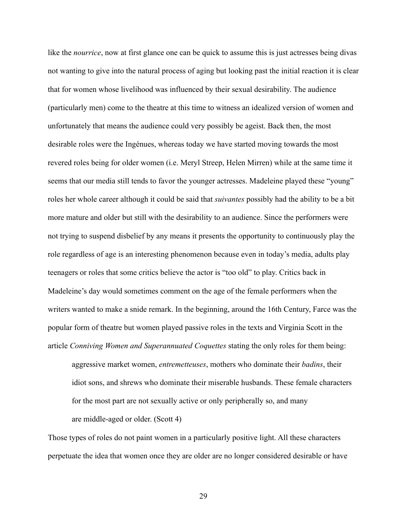like the *nourrice*, now at first glance one can be quick to assume this is just actresses being divas not wanting to give into the natural process of aging but looking past the initial reaction it is clear that for women whose livelihood was influenced by their sexual desirability. The audience (particularly men) come to the theatre at this time to witness an idealized version of women and unfortunately that means the audience could very possibly be ageist. Back then, the most desirable roles were the Ingénues, whereas today we have started moving towards the most revered roles being for older women (i.e. Meryl Streep, Helen Mirren) while at the same time it seems that our media still tends to favor the younger actresses. Madeleine played these "young" roles her whole career although it could be said that *suivantes* possibly had the ability to be a bit more mature and older but still with the desirability to an audience. Since the performers were not trying to suspend disbelief by any means it presents the opportunity to continuously play the role regardless of age is an interesting phenomenon because even in today's media, adults play teenagers or roles that some critics believe the actor is "too old" to play. Critics back in Madeleine's day would sometimes comment on the age of the female performers when the writers wanted to make a snide remark. In the beginning, around the 16th Century, Farce was the popular form of theatre but women played passive roles in the texts and Virginia Scott in the article *Conniving Women and Superannuated Coquettes* stating the only roles for them being:

aggressive market women, *entremetteuses*, mothers who dominate their *badins*, their idiot sons, and shrews who dominate their miserable husbands. These female characters for the most part are not sexually active or only peripherally so, and many are middle-aged or older. (Scott 4)

Those types of roles do not paint women in a particularly positive light. All these characters perpetuate the idea that women once they are older are no longer considered desirable or have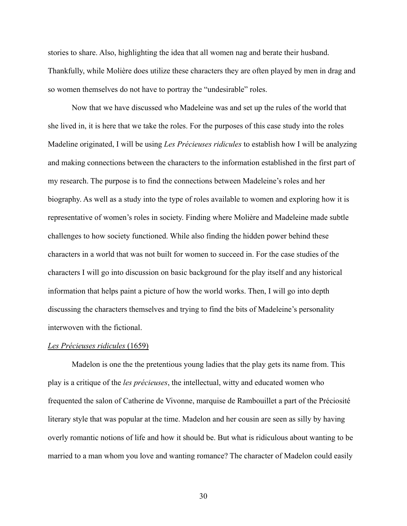stories to share. Also, highlighting the idea that all women nag and berate their husband. Thankfully, while Molière does utilize these characters they are often played by men in drag and so women themselves do not have to portray the "undesirable" roles.

Now that we have discussed who Madeleine was and set up the rules of the world that she lived in, it is here that we take the roles. For the purposes of this case study into the roles Madeline originated, I will be using *Les Précieuses ridicules* to establish how I will be analyzing and making connections between the characters to the information established in the first part of my research. The purpose is to find the connections between Madeleine's roles and her biography. As well as a study into the type of roles available to women and exploring how it is representative of women's roles in society. Finding where Molière and Madeleine made subtle challenges to how society functioned. While also finding the hidden power behind these characters in a world that was not built for women to succeed in. For the case studies of the characters I will go into discussion on basic background for the play itself and any historical information that helps paint a picture of how the world works. Then, I will go into depth discussing the characters themselves and trying to find the bits of Madeleine's personality interwoven with the fictional.

#### *Les Précieuses ridicules* (1659)

Madelon is one the the pretentious young ladies that the play gets its name from. This play is a critique of the *les précieuses*, the intellectual, witty and educated women who frequented the salon of Catherine de Vivonne, marquise de Rambouillet a part of the Préciosité literary style that was popular at the time. Madelon and her cousin are seen as silly by having overly romantic notions of life and how it should be. But what is ridiculous about wanting to be married to a man whom you love and wanting romance? The character of Madelon could easily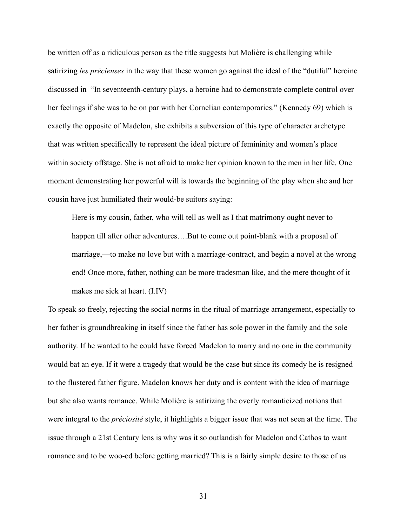be written off as a ridiculous person as the title suggests but Molière is challenging while satirizing *les précieuses* in the way that these women go against the ideal of the "dutiful" heroine discussed in "In seventeenth-century plays, a heroine had to demonstrate complete control over her feelings if she was to be on par with her Cornelian contemporaries." (Kennedy 69) which is exactly the opposite of Madelon, she exhibits a subversion of this type of character archetype that was written specifically to represent the ideal picture of femininity and women's place within society offstage. She is not afraid to make her opinion known to the men in her life. One moment demonstrating her powerful will is towards the beginning of the play when she and her cousin have just humiliated their would-be suitors saying:

Here is my cousin, father, who will tell as well as I that matrimony ought never to happen till after other adventures....But to come out point-blank with a proposal of marriage,—to make no love but with a marriage-contract, and begin a novel at the wrong end! Once more, father, nothing can be more tradesman like, and the mere thought of it makes me sick at heart. (I.IV)

To speak so freely, rejecting the social norms in the ritual of marriage arrangement, especially to her father is groundbreaking in itself since the father has sole power in the family and the sole authority. If he wanted to he could have forced Madelon to marry and no one in the community would bat an eye. If it were a tragedy that would be the case but since its comedy he is resigned to the flustered father figure. Madelon knows her duty and is content with the idea of marriage but she also wants romance. While Molière is satirizing the overly romanticized notions that were integral to the *préciosité* style, it highlights a bigger issue that was not seen at the time. The issue through a 21st Century lens is why was it so outlandish for Madelon and Cathos to want romance and to be woo-ed before getting married? This is a fairly simple desire to those of us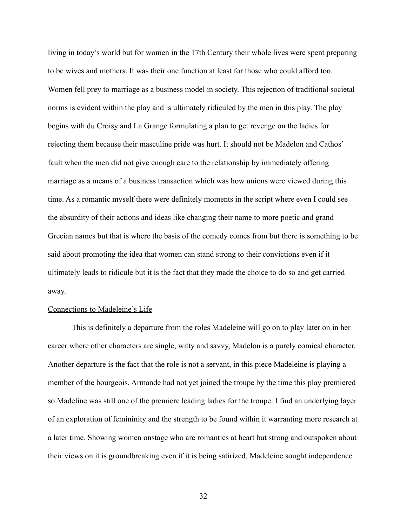living in today's world but for women in the 17th Century their whole lives were spent preparing to be wives and mothers. It was their one function at least for those who could afford too. Women fell prey to marriage as a business model in society. This rejection of traditional societal norms is evident within the play and is ultimately ridiculed by the men in this play. The play begins with du Croisy and La Grange formulating a plan to get revenge on the ladies for rejecting them because their masculine pride was hurt. It should not be Madelon and Cathos' fault when the men did not give enough care to the relationship by immediately offering marriage as a means of a business transaction which was how unions were viewed during this time. As a romantic myself there were definitely moments in the script where even I could see the absurdity of their actions and ideas like changing their name to more poetic and grand Grecian names but that is where the basis of the comedy comes from but there is something to be said about promoting the idea that women can stand strong to their convictions even if it ultimately leads to ridicule but it is the fact that they made the choice to do so and get carried away.

## Connections to Madeleine's Life

This is definitely a departure from the roles Madeleine will go on to play later on in her career where other characters are single, witty and savvy, Madelon is a purely comical character. Another departure is the fact that the role is not a servant, in this piece Madeleine is playing a member of the bourgeois. Armande had not yet joined the troupe by the time this play premiered so Madeline was still one of the premiere leading ladies for the troupe. I find an underlying layer of an exploration of femininity and the strength to be found within it warranting more research at a later time. Showing women onstage who are romantics at heart but strong and outspoken about their views on it is groundbreaking even if it is being satirized. Madeleine sought independence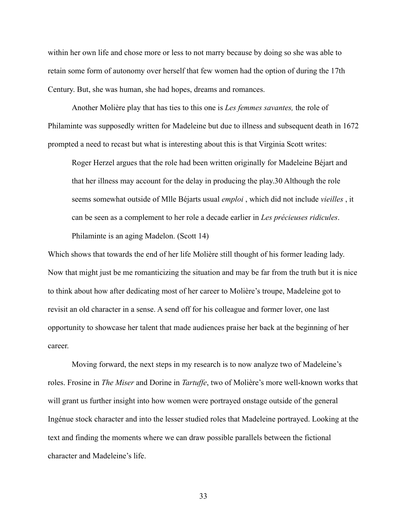within her own life and chose more or less to not marry because by doing so she was able to retain some form of autonomy over herself that few women had the option of during the 17th Century. But, she was human, she had hopes, dreams and romances.

Another Molière play that has ties to this one is *Les femmes savantes,* the role of Philaminte was supposedly written for Madeleine but due to illness and subsequent death in 1672 prompted a need to recast but what is interesting about this is that Virginia Scott writes:

Roger Herzel argues that the role had been written originally for Madeleine Béjart and that her illness may account for the delay in producing the play.30 Although the role seems somewhat outside of Mlle Béjarts usual *emploi* , which did not include *vieilles* , it can be seen as a complement to her role a decade earlier in *Les précieuses ridicules*. Philaminte is an aging Madelon. (Scott 14)

Which shows that towards the end of her life Molière still thought of his former leading lady. Now that might just be me romanticizing the situation and may be far from the truth but it is nice to think about how after dedicating most of her career to Molière's troupe, Madeleine got to revisit an old character in a sense. A send off for his colleague and former lover, one last opportunity to showcase her talent that made audiences praise her back at the beginning of her career.

Moving forward, the next steps in my research is to now analyze two of Madeleine's roles. Frosine in *The Miser* and Dorine in *Tartuffe*, two of Molière's more well-known works that will grant us further insight into how women were portrayed onstage outside of the general Ingénue stock character and into the lesser studied roles that Madeleine portrayed. Looking at the text and finding the moments where we can draw possible parallels between the fictional character and Madeleine's life.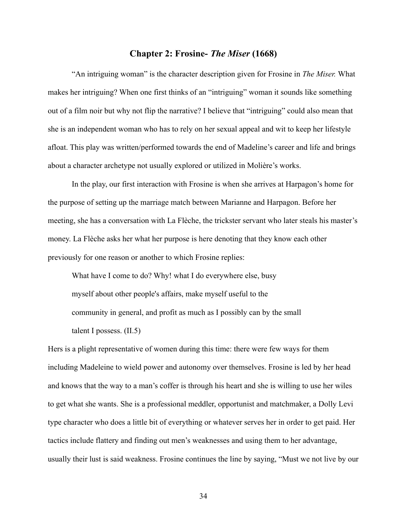# **Chapter 2: Frosine-** *The Miser* **(1668)**

"An intriguing woman" is the character description given for Frosine in *The Miser.* What makes her intriguing? When one first thinks of an "intriguing" woman it sounds like something out of a film noir but why not flip the narrative? I believe that "intriguing" could also mean that she is an independent woman who has to rely on her sexual appeal and wit to keep her lifestyle afloat. This play was written/performed towards the end of Madeline's career and life and brings about a character archetype not usually explored or utilized in Molière's works.

In the play, our first interaction with Frosine is when she arrives at Harpagon's home for the purpose of setting up the marriage match between Marianne and Harpagon. Before her meeting, she has a conversation with La Flèche, the trickster servant who later steals his master's money. La Flèche asks her what her purpose is here denoting that they know each other previously for one reason or another to which Frosine replies:

What have I come to do? Why! what I do everywhere else, busy myself about other people's affairs, make myself useful to the community in general, and profit as much as I possibly can by the small talent I possess. (II.5)

Hers is a plight representative of women during this time: there were few ways for them including Madeleine to wield power and autonomy over themselves. Frosine is led by her head and knows that the way to a man's coffer is through his heart and she is willing to use her wiles to get what she wants. She is a professional meddler, opportunist and matchmaker, a Dolly Levi type character who does a little bit of everything or whatever serves her in order to get paid. Her tactics include flattery and finding out men's weaknesses and using them to her advantage, usually their lust is said weakness. Frosine continues the line by saying, "Must we not live by our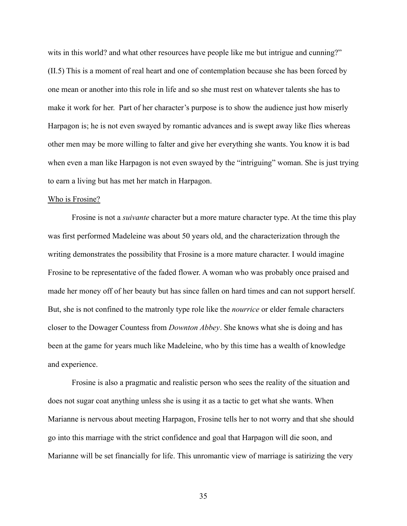wits in this world? and what other resources have people like me but intrigue and cunning?" (II.5) This is a moment of real heart and one of contemplation because she has been forced by one mean or another into this role in life and so she must rest on whatever talents she has to make it work for her. Part of her character's purpose is to show the audience just how miserly Harpagon is; he is not even swayed by romantic advances and is swept away like flies whereas other men may be more willing to falter and give her everything she wants. You know it is bad when even a man like Harpagon is not even swayed by the "intriguing" woman. She is just trying to earn a living but has met her match in Harpagon.

#### Who is Frosine?

Frosine is not a *suivante* character but a more mature character type. At the time this play was first performed Madeleine was about 50 years old, and the characterization through the writing demonstrates the possibility that Frosine is a more mature character. I would imagine Frosine to be representative of the faded flower. A woman who was probably once praised and made her money off of her beauty but has since fallen on hard times and can not support herself. But, she is not confined to the matronly type role like the *nourrice* or elder female characters closer to the Dowager Countess from *Downton Abbey*. She knows what she is doing and has been at the game for years much like Madeleine, who by this time has a wealth of knowledge and experience.

Frosine is also a pragmatic and realistic person who sees the reality of the situation and does not sugar coat anything unless she is using it as a tactic to get what she wants. When Marianne is nervous about meeting Harpagon, Frosine tells her to not worry and that she should go into this marriage with the strict confidence and goal that Harpagon will die soon, and Marianne will be set financially for life. This unromantic view of marriage is satirizing the very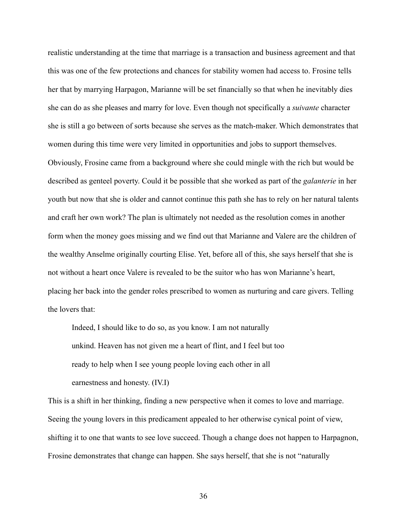realistic understanding at the time that marriage is a transaction and business agreement and that this was one of the few protections and chances for stability women had access to. Frosine tells her that by marrying Harpagon, Marianne will be set financially so that when he inevitably dies she can do as she pleases and marry for love. Even though not specifically a *suivante* character she is still a go between of sorts because she serves as the match-maker. Which demonstrates that women during this time were very limited in opportunities and jobs to support themselves. Obviously, Frosine came from a background where she could mingle with the rich but would be described as genteel poverty. Could it be possible that she worked as part of the *galanterie* in her youth but now that she is older and cannot continue this path she has to rely on her natural talents and craft her own work? The plan is ultimately not needed as the resolution comes in another form when the money goes missing and we find out that Marianne and Valere are the children of the wealthy Anselme originally courting Elise. Yet, before all of this, she says herself that she is not without a heart once Valere is revealed to be the suitor who has won Marianne's heart, placing her back into the gender roles prescribed to women as nurturing and care givers. Telling the lovers that:

Indeed, I should like to do so, as you know. I am not naturally unkind. Heaven has not given me a heart of flint, and I feel but too ready to help when I see young people loving each other in all earnestness and honesty. (IV.I)

This is a shift in her thinking, finding a new perspective when it comes to love and marriage. Seeing the young lovers in this predicament appealed to her otherwise cynical point of view, shifting it to one that wants to see love succeed. Though a change does not happen to Harpagnon, Frosine demonstrates that change can happen. She says herself, that she is not "naturally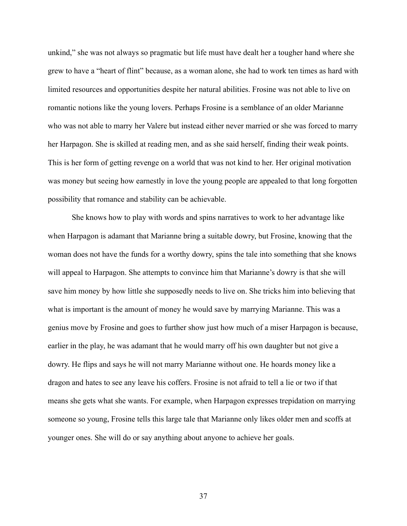unkind," she was not always so pragmatic but life must have dealt her a tougher hand where she grew to have a "heart of flint" because, as a woman alone, she had to work ten times as hard with limited resources and opportunities despite her natural abilities. Frosine was not able to live on romantic notions like the young lovers. Perhaps Frosine is a semblance of an older Marianne who was not able to marry her Valere but instead either never married or she was forced to marry her Harpagon. She is skilled at reading men, and as she said herself, finding their weak points. This is her form of getting revenge on a world that was not kind to her. Her original motivation was money but seeing how earnestly in love the young people are appealed to that long forgotten possibility that romance and stability can be achievable.

She knows how to play with words and spins narratives to work to her advantage like when Harpagon is adamant that Marianne bring a suitable dowry, but Frosine, knowing that the woman does not have the funds for a worthy dowry, spins the tale into something that she knows will appeal to Harpagon. She attempts to convince him that Marianne's dowry is that she will save him money by how little she supposedly needs to live on. She tricks him into believing that what is important is the amount of money he would save by marrying Marianne. This was a genius move by Frosine and goes to further show just how much of a miser Harpagon is because, earlier in the play, he was adamant that he would marry off his own daughter but not give a dowry. He flips and says he will not marry Marianne without one. He hoards money like a dragon and hates to see any leave his coffers. Frosine is not afraid to tell a lie or two if that means she gets what she wants. For example, when Harpagon expresses trepidation on marrying someone so young, Frosine tells this large tale that Marianne only likes older men and scoffs at younger ones. She will do or say anything about anyone to achieve her goals.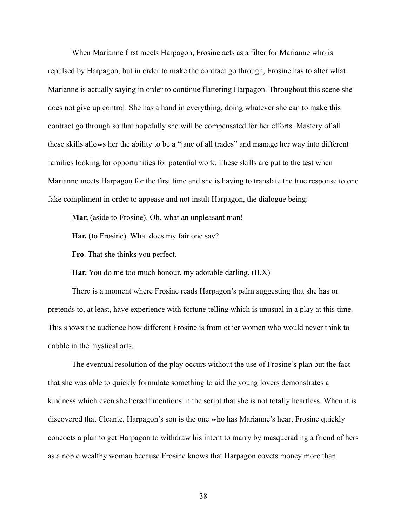When Marianne first meets Harpagon, Frosine acts as a filter for Marianne who is repulsed by Harpagon, but in order to make the contract go through, Frosine has to alter what Marianne is actually saying in order to continue flattering Harpagon. Throughout this scene she does not give up control. She has a hand in everything, doing whatever she can to make this contract go through so that hopefully she will be compensated for her efforts. Mastery of all these skills allows her the ability to be a "jane of all trades" and manage her way into different families looking for opportunities for potential work. These skills are put to the test when Marianne meets Harpagon for the first time and she is having to translate the true response to one fake compliment in order to appease and not insult Harpagon, the dialogue being:

**Mar.** (aside to Frosine). Oh, what an unpleasant man!

**Har.** (to Frosine). What does my fair one say?

**Fro**. That she thinks you perfect.

**Har.** You do me too much honour, my adorable darling. (II.X)

There is a moment where Frosine reads Harpagon's palm suggesting that she has or pretends to, at least, have experience with fortune telling which is unusual in a play at this time. This shows the audience how different Frosine is from other women who would never think to dabble in the mystical arts.

The eventual resolution of the play occurs without the use of Frosine's plan but the fact that she was able to quickly formulate something to aid the young lovers demonstrates a kindness which even she herself mentions in the script that she is not totally heartless. When it is discovered that Cleante, Harpagon's son is the one who has Marianne's heart Frosine quickly concocts a plan to get Harpagon to withdraw his intent to marry by masquerading a friend of hers as a noble wealthy woman because Frosine knows that Harpagon covets money more than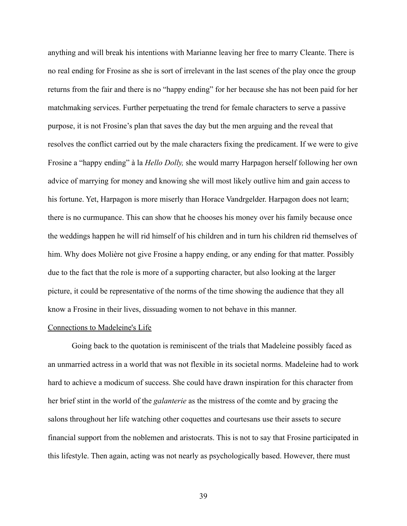anything and will break his intentions with Marianne leaving her free to marry Cleante. There is no real ending for Frosine as she is sort of irrelevant in the last scenes of the play once the group returns from the fair and there is no "happy ending" for her because she has not been paid for her matchmaking services. Further perpetuating the trend for female characters to serve a passive purpose, it is not Frosine's plan that saves the day but the men arguing and the reveal that resolves the conflict carried out by the male characters fixing the predicament. If we were to give Frosine a "happy ending" à la *Hello Dolly,* she would marry Harpagon herself following her own advice of marrying for money and knowing she will most likely outlive him and gain access to his fortune. Yet, Harpagon is more miserly than Horace Vandrgelder. Harpagon does not learn; there is no curmupance. This can show that he chooses his money over his family because once the weddings happen he will rid himself of his children and in turn his children rid themselves of him. Why does Molière not give Frosine a happy ending, or any ending for that matter. Possibly due to the fact that the role is more of a supporting character, but also looking at the larger picture, it could be representative of the norms of the time showing the audience that they all know a Frosine in their lives, dissuading women to not behave in this manner.

### Connections to Madeleine's Life

Going back to the quotation is reminiscent of the trials that Madeleine possibly faced as an unmarried actress in a world that was not flexible in its societal norms. Madeleine had to work hard to achieve a modicum of success. She could have drawn inspiration for this character from her brief stint in the world of the *galanterie* as the mistress of the comte and by gracing the salons throughout her life watching other coquettes and courtesans use their assets to secure financial support from the noblemen and aristocrats. This is not to say that Frosine participated in this lifestyle. Then again, acting was not nearly as psychologically based. However, there must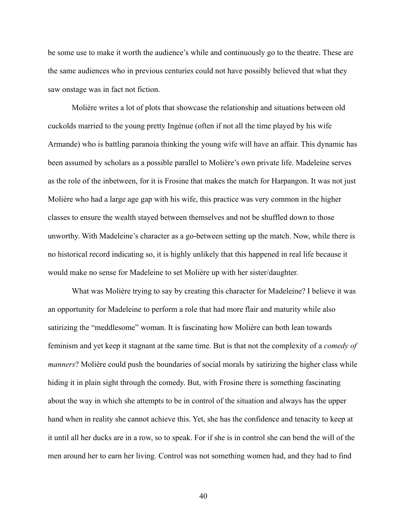be some use to make it worth the audience's while and continuously go to the theatre. These are the same audiences who in previous centuries could not have possibly believed that what they saw onstage was in fact not fiction.

Molière writes a lot of plots that showcase the relationship and situations between old cuckolds married to the young pretty Ingénue (often if not all the time played by his wife Armande) who is battling paranoia thinking the young wife will have an affair. This dynamic has been assumed by scholars as a possible parallel to Molière's own private life. Madeleine serves as the role of the inbetween, for it is Frosine that makes the match for Harpangon. It was not just Molière who had a large age gap with his wife, this practice was very common in the higher classes to ensure the wealth stayed between themselves and not be shuffled down to those unworthy. With Madeleine's character as a go-between setting up the match. Now, while there is no historical record indicating so, it is highly unlikely that this happened in real life because it would make no sense for Madeleine to set Molière up with her sister/daughter.

What was Molière trying to say by creating this character for Madeleine? I believe it was an opportunity for Madeleine to perform a role that had more flair and maturity while also satirizing the "meddlesome" woman. It is fascinating how Molière can both lean towards feminism and yet keep it stagnant at the same time. But is that not the complexity of a *comedy of manners*? Molière could push the boundaries of social morals by satirizing the higher class while hiding it in plain sight through the comedy. But, with Frosine there is something fascinating about the way in which she attempts to be in control of the situation and always has the upper hand when in reality she cannot achieve this. Yet, she has the confidence and tenacity to keep at it until all her ducks are in a row, so to speak. For if she is in control she can bend the will of the men around her to earn her living. Control was not something women had, and they had to find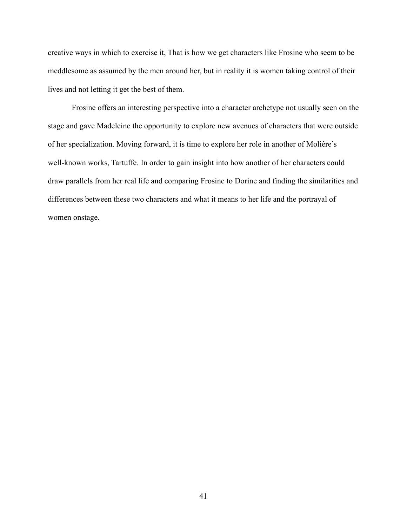creative ways in which to exercise it, That is how we get characters like Frosine who seem to be meddlesome as assumed by the men around her, but in reality it is women taking control of their lives and not letting it get the best of them.

Frosine offers an interesting perspective into a character archetype not usually seen on the stage and gave Madeleine the opportunity to explore new avenues of characters that were outside of her specialization. Moving forward, it is time to explore her role in another of Molière's well-known works, Tartuffe*.* In order to gain insight into how another of her characters could draw parallels from her real life and comparing Frosine to Dorine and finding the similarities and differences between these two characters and what it means to her life and the portrayal of women onstage.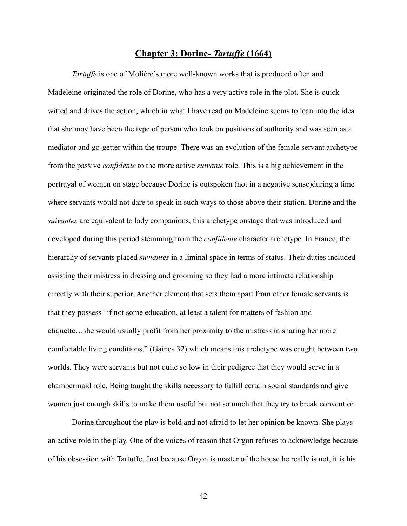# *<u>Chapter 3: Dorine- <i>Tartuffe* (1664)</del></u>

*Tartuffe* is one of Molière's more well-known works that is produced often and Madeleine originated the role of Dorine, who has a very active role in the plot. She is quick witted and drives the action, which in what I have read on Madeleine seems to lean into the idea that she may have been the type of person who took on positions of authority and was seen as a mediator and go-getter within the troupe. There was an evolution of the female servant archetype from the passive *confidente* to the more active *suivante* role. This is a big achievement in the portrayal of women on stage because Dorine is outspoken (not in a negative sense)during a time where servants would not dare to speak in such ways to those above their station. Dorine and the *suivantes* are equivalent to lady companions, this archetype onstage that was introduced and developed during this period stemming from the *confidente* character archetype. In France, the hierarchy of servants placed *suviantes* in a liminal space in terms of status. Their duties included assisting their mistress in dressing and grooming so they had a more intimate relationship directly with their superior. Another element that sets them apart from other female servants is that they possess "if not some education, at least a talent for matters of fashion and etiquette…she would usually profit from her proximity to the mistress in sharing her more comfortable living conditions." (Gaines 32) which means this archetype was caught between two worlds. They were servants but not quite so low in their pedigree that they would serve in a chambermaid role. Being taught the skills necessary to fulfill certain social standards and give women just enough skills to make them useful but not so much that they try to break convention.

Dorine throughout the play is bold and not afraid to let her opinion be known. She plays an active role in the play. One of the voices of reason that Orgon refuses to acknowledge because of his obsession with Tartuffe. Just because Orgon is master of the house he really is not, it is his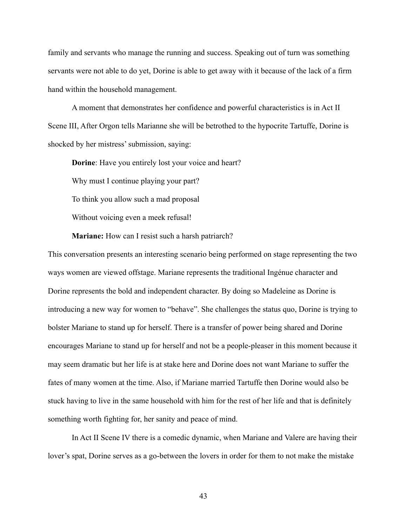family and servants who manage the running and success. Speaking out of turn was something servants were not able to do yet, Dorine is able to get away with it because of the lack of a firm hand within the household management.

A moment that demonstrates her confidence and powerful characteristics is in Act II Scene III, After Orgon tells Marianne she will be betrothed to the hypocrite Tartuffe, Dorine is shocked by her mistress' submission, saying:

**Dorine**: Have you entirely lost your voice and heart? Why must I continue playing your part? To think you allow such a mad proposal Without voicing even a meek refusal!

**Mariane:** How can I resist such a harsh patriarch?

This conversation presents an interesting scenario being performed on stage representing the two ways women are viewed offstage. Mariane represents the traditional Ingénue character and Dorine represents the bold and independent character. By doing so Madeleine as Dorine is introducing a new way for women to "behave". She challenges the status quo, Dorine is trying to bolster Mariane to stand up for herself. There is a transfer of power being shared and Dorine encourages Mariane to stand up for herself and not be a people-pleaser in this moment because it may seem dramatic but her life is at stake here and Dorine does not want Mariane to suffer the fates of many women at the time. Also, if Mariane married Tartuffe then Dorine would also be stuck having to live in the same household with him for the rest of her life and that is definitely something worth fighting for, her sanity and peace of mind.

In Act II Scene IV there is a comedic dynamic, when Mariane and Valere are having their lover's spat, Dorine serves as a go-between the lovers in order for them to not make the mistake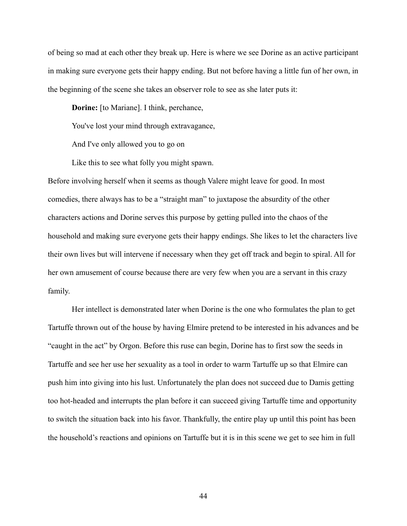of being so mad at each other they break up. Here is where we see Dorine as an active participant in making sure everyone gets their happy ending. But not before having a little fun of her own, in the beginning of the scene she takes an observer role to see as she later puts it:

**Dorine:** [to Mariane]. I think, perchance,

You've lost your mind through extravagance,

And I've only allowed you to go on

Like this to see what folly you might spawn.

Before involving herself when it seems as though Valere might leave for good. In most comedies, there always has to be a "straight man" to juxtapose the absurdity of the other characters actions and Dorine serves this purpose by getting pulled into the chaos of the household and making sure everyone gets their happy endings. She likes to let the characters live their own lives but will intervene if necessary when they get off track and begin to spiral. All for her own amusement of course because there are very few when you are a servant in this crazy family.

Her intellect is demonstrated later when Dorine is the one who formulates the plan to get Tartuffe thrown out of the house by having Elmire pretend to be interested in his advances and be "caught in the act" by Orgon. Before this ruse can begin, Dorine has to first sow the seeds in Tartuffe and see her use her sexuality as a tool in order to warm Tartuffe up so that Elmire can push him into giving into his lust. Unfortunately the plan does not succeed due to Damis getting too hot-headed and interrupts the plan before it can succeed giving Tartuffe time and opportunity to switch the situation back into his favor. Thankfully, the entire play up until this point has been the household's reactions and opinions on Tartuffe but it is in this scene we get to see him in full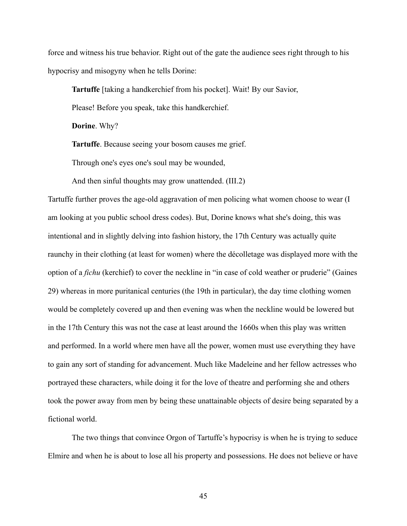force and witness his true behavior. Right out of the gate the audience sees right through to his hypocrisy and misogyny when he tells Dorine:

**Tartuffe** [taking a handkerchief from his pocket]. Wait! By our Savior,

Please! Before you speak, take this handkerchief.

**Dorine**. Why?

**Tartuffe**. Because seeing your bosom causes me grief.

Through one's eyes one's soul may be wounded,

And then sinful thoughts may grow unattended. (III.2)

Tartuffe further proves the age-old aggravation of men policing what women choose to wear (I am looking at you public school dress codes). But, Dorine knows what she's doing, this was intentional and in slightly delving into fashion history, the 17th Century was actually quite raunchy in their clothing (at least for women) where the décolletage was displayed more with the option of a *fichu* (kerchief) to cover the neckline in "in case of cold weather or pruderie" (Gaines 29) whereas in more puritanical centuries (the 19th in particular), the day time clothing women would be completely covered up and then evening was when the neckline would be lowered but in the 17th Century this was not the case at least around the 1660s when this play was written and performed. In a world where men have all the power, women must use everything they have to gain any sort of standing for advancement. Much like Madeleine and her fellow actresses who portrayed these characters, while doing it for the love of theatre and performing she and others took the power away from men by being these unattainable objects of desire being separated by a fictional world.

The two things that convince Orgon of Tartuffe's hypocrisy is when he is trying to seduce Elmire and when he is about to lose all his property and possessions. He does not believe or have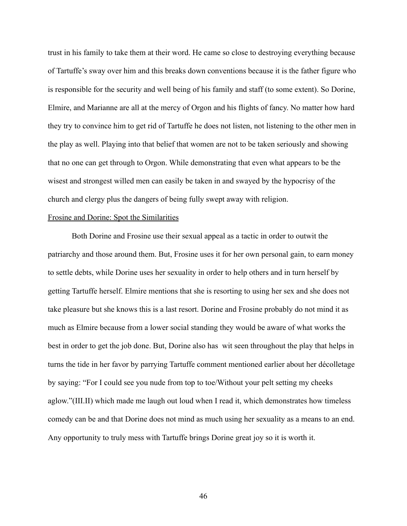trust in his family to take them at their word. He came so close to destroying everything because of Tartuffe's sway over him and this breaks down conventions because it is the father figure who is responsible for the security and well being of his family and staff (to some extent). So Dorine, Elmire, and Marianne are all at the mercy of Orgon and his flights of fancy. No matter how hard they try to convince him to get rid of Tartuffe he does not listen, not listening to the other men in the play as well. Playing into that belief that women are not to be taken seriously and showing that no one can get through to Orgon. While demonstrating that even what appears to be the wisest and strongest willed men can easily be taken in and swayed by the hypocrisy of the church and clergy plus the dangers of being fully swept away with religion.

# Frosine and Dorine: Spot the Similarities

Both Dorine and Frosine use their sexual appeal as a tactic in order to outwit the patriarchy and those around them. But, Frosine uses it for her own personal gain, to earn money to settle debts, while Dorine uses her sexuality in order to help others and in turn herself by getting Tartuffe herself. Elmire mentions that she is resorting to using her sex and she does not take pleasure but she knows this is a last resort. Dorine and Frosine probably do not mind it as much as Elmire because from a lower social standing they would be aware of what works the best in order to get the job done. But, Dorine also has wit seen throughout the play that helps in turns the tide in her favor by parrying Tartuffe comment mentioned earlier about her décolletage by saying: "For I could see you nude from top to toe/Without your pelt setting my cheeks aglow."(III.II) which made me laugh out loud when I read it, which demonstrates how timeless comedy can be and that Dorine does not mind as much using her sexuality as a means to an end. Any opportunity to truly mess with Tartuffe brings Dorine great joy so it is worth it.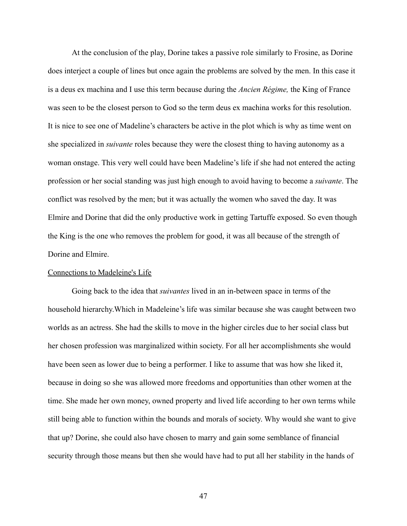At the conclusion of the play, Dorine takes a passive role similarly to Frosine, as Dorine does interject a couple of lines but once again the problems are solved by the men. In this case it is a deus ex machina and I use this term because during the *Ancien Régime,* the King of France was seen to be the closest person to God so the term deus ex machina works for this resolution. It is nice to see one of Madeline's characters be active in the plot which is why as time went on she specialized in *suivante* roles because they were the closest thing to having autonomy as a woman onstage. This very well could have been Madeline's life if she had not entered the acting profession or her social standing was just high enough to avoid having to become a *suivante*. The conflict was resolved by the men; but it was actually the women who saved the day. It was Elmire and Dorine that did the only productive work in getting Tartuffe exposed. So even though the King is the one who removes the problem for good, it was all because of the strength of Dorine and Elmire.

### Connections to Madeleine's Life

Going back to the idea that *suivantes* lived in an in-between space in terms of the household hierarchy.Which in Madeleine's life was similar because she was caught between two worlds as an actress. She had the skills to move in the higher circles due to her social class but her chosen profession was marginalized within society. For all her accomplishments she would have been seen as lower due to being a performer. I like to assume that was how she liked it, because in doing so she was allowed more freedoms and opportunities than other women at the time. She made her own money, owned property and lived life according to her own terms while still being able to function within the bounds and morals of society. Why would she want to give that up? Dorine, she could also have chosen to marry and gain some semblance of financial security through those means but then she would have had to put all her stability in the hands of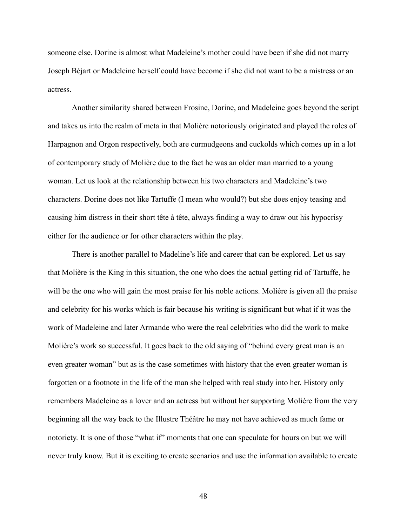someone else. Dorine is almost what Madeleine's mother could have been if she did not marry Joseph Béjart or Madeleine herself could have become if she did not want to be a mistress or an actress.

Another similarity shared between Frosine, Dorine, and Madeleine goes beyond the script and takes us into the realm of meta in that Molière notoriously originated and played the roles of Harpagnon and Orgon respectively, both are curmudgeons and cuckolds which comes up in a lot of contemporary study of Molière due to the fact he was an older man married to a young woman. Let us look at the relationship between his two characters and Madeleine's two characters. Dorine does not like Tartuffe (I mean who would?) but she does enjoy teasing and causing him distress in their short tête à tête, always finding a way to draw out his hypocrisy either for the audience or for other characters within the play.

There is another parallel to Madeline's life and career that can be explored. Let us say that Molière is the King in this situation, the one who does the actual getting rid of Tartuffe, he will be the one who will gain the most praise for his noble actions. Molière is given all the praise and celebrity for his works which is fair because his writing is significant but what if it was the work of Madeleine and later Armande who were the real celebrities who did the work to make Molière's work so successful. It goes back to the old saying of "behind every great man is an even greater woman" but as is the case sometimes with history that the even greater woman is forgotten or a footnote in the life of the man she helped with real study into her. History only remembers Madeleine as a lover and an actress but without her supporting Molière from the very beginning all the way back to the Illustre Théâtre he may not have achieved as much fame or notoriety. It is one of those "what if" moments that one can speculate for hours on but we will never truly know. But it is exciting to create scenarios and use the information available to create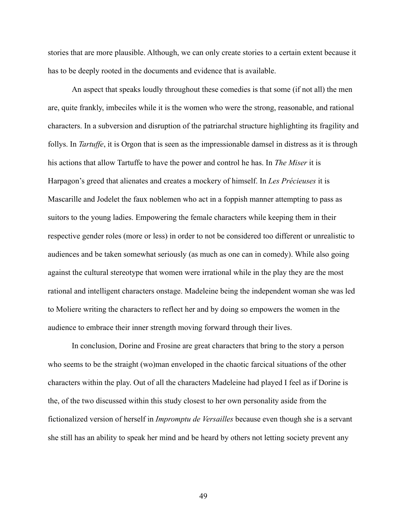stories that are more plausible. Although, we can only create stories to a certain extent because it has to be deeply rooted in the documents and evidence that is available.

An aspect that speaks loudly throughout these comedies is that some (if not all) the men are, quite frankly, imbeciles while it is the women who were the strong, reasonable, and rational characters. In a subversion and disruption of the patriarchal structure highlighting its fragility and follys. In *Tartuffe*, it is Orgon that is seen as the impressionable damsel in distress as it is through his actions that allow Tartuffe to have the power and control he has. In *The Miser* it is Harpagon's greed that alienates and creates a mockery of himself. In *Les Précieuses* it is Mascarille and Jodelet the faux noblemen who act in a foppish manner attempting to pass as suitors to the young ladies. Empowering the female characters while keeping them in their respective gender roles (more or less) in order to not be considered too different or unrealistic to audiences and be taken somewhat seriously (as much as one can in comedy). While also going against the cultural stereotype that women were irrational while in the play they are the most rational and intelligent characters onstage. Madeleine being the independent woman she was led to Moliere writing the characters to reflect her and by doing so empowers the women in the audience to embrace their inner strength moving forward through their lives.

In conclusion, Dorine and Frosine are great characters that bring to the story a person who seems to be the straight (wo)man enveloped in the chaotic farcical situations of the other characters within the play. Out of all the characters Madeleine had played I feel as if Dorine is the, of the two discussed within this study closest to her own personality aside from the fictionalized version of herself in *Impromptu de Versailles* because even though she is a servant she still has an ability to speak her mind and be heard by others not letting society prevent any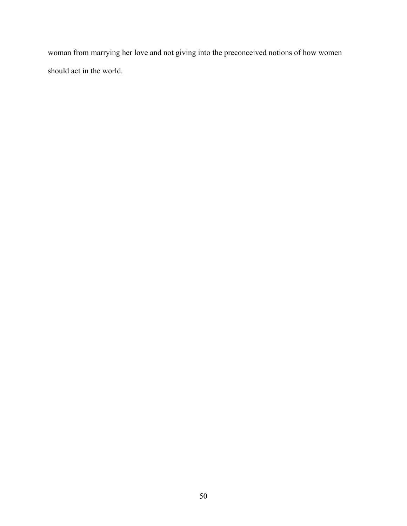woman from marrying her love and not giving into the preconceived notions of how women should act in the world.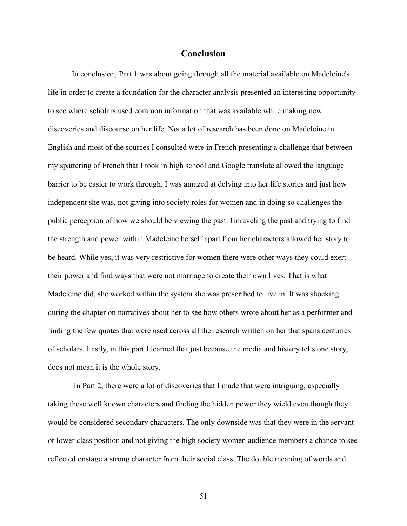# **Conclusion**

In conclusion, Part 1 was about going through all the material available on Madeleine's life in order to create a foundation for the character analysis presented an interesting opportunity to see where scholars used common information that was available while making new discoveries and discourse on her life. Not a lot of research has been done on Madeleine in English and most of the sources I consulted were in French presenting a challenge that between my spattering of French that I took in high school and Google translate allowed the language barrier to be easier to work through. I was amazed at delving into her life stories and just how independent she was, not giving into society roles for women and in doing so challenges the public perception of how we should be viewing the past. Unraveling the past and trying to find the strength and power within Madeleine herself apart from her characters allowed her story to be heard. While yes, it was very restrictive for women there were other ways they could exert their power and find ways that were not marriage to create their own lives. That is what Madeleine did, she worked within the system she was prescribed to live in. It was shocking during the chapter on narratives about her to see how others wrote about her as a performer and finding the few quotes that were used across all the research written on her that spans centuries of scholars. Lastly, in this part I learned that just because the media and history tells one story, does not mean it is the whole story.

In Part 2, there were a lot of discoveries that I made that were intriguing, especially taking these well known characters and finding the hidden power they wield even though they would be considered secondary characters. The only downside was that they were in the servant or lower class position and not giving the high society women audience members a chance to see reflected onstage a strong character from their social class. The double meaning of words and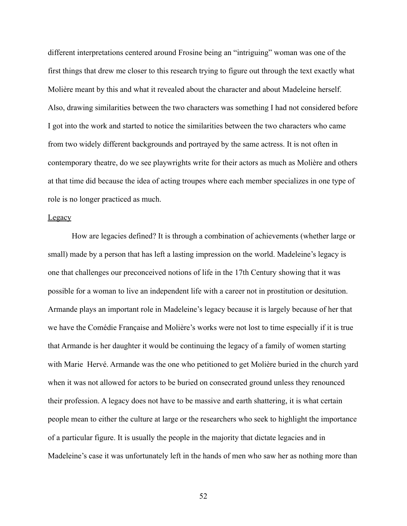different interpretations centered around Frosine being an "intriguing" woman was one of the first things that drew me closer to this research trying to figure out through the text exactly what Molière meant by this and what it revealed about the character and about Madeleine herself. Also, drawing similarities between the two characters was something I had not considered before I got into the work and started to notice the similarities between the two characters who came from two widely different backgrounds and portrayed by the same actress. It is not often in contemporary theatre, do we see playwrights write for their actors as much as Molière and others at that time did because the idea of acting troupes where each member specializes in one type of role is no longer practiced as much.

## **Legacy**

How are legacies defined? It is through a combination of achievements (whether large or small) made by a person that has left a lasting impression on the world. Madeleine's legacy is one that challenges our preconceived notions of life in the 17th Century showing that it was possible for a woman to live an independent life with a career not in prostitution or desitution. Armande plays an important role in Madeleine's legacy because it is largely because of her that we have the Comédie Française and Molière's works were not lost to time especially if it is true that Armande is her daughter it would be continuing the legacy of a family of women starting with Marie Hervé. Armande was the one who petitioned to get Molière buried in the church yard when it was not allowed for actors to be buried on consecrated ground unless they renounced their profession. A legacy does not have to be massive and earth shattering, it is what certain people mean to either the culture at large or the researchers who seek to highlight the importance of a particular figure. It is usually the people in the majority that dictate legacies and in Madeleine's case it was unfortunately left in the hands of men who saw her as nothing more than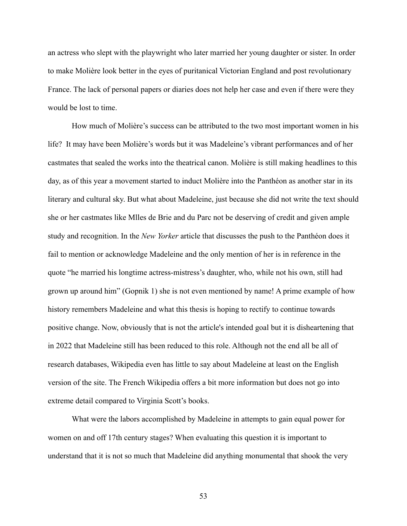an actress who slept with the playwright who later married her young daughter or sister. In order to make Molière look better in the eyes of puritanical Victorian England and post revolutionary France. The lack of personal papers or diaries does not help her case and even if there were they would be lost to time.

How much of Molière's success can be attributed to the two most important women in his life? It may have been Molière's words but it was Madeleine's vibrant performances and of her castmates that sealed the works into the theatrical canon. Molière is still making headlines to this day, as of this year a movement started to induct Molière into the Panthéon as another star in its literary and cultural sky. But what about Madeleine, just because she did not write the text should she or her castmates like Mlles de Brie and du Parc not be deserving of credit and given ample study and recognition. In the *New Yorker* article that discusses the push to the Panthéon does it fail to mention or acknowledge Madeleine and the only mention of her is in reference in the quote "he married his longtime actress-mistress's daughter, who, while not his own, still had grown up around him" (Gopnik 1) she is not even mentioned by name! A prime example of how history remembers Madeleine and what this thesis is hoping to rectify to continue towards positive change. Now, obviously that is not the article's intended goal but it is disheartening that in 2022 that Madeleine still has been reduced to this role. Although not the end all be all of research databases, Wikipedia even has little to say about Madeleine at least on the English version of the site. The French Wikipedia offers a bit more information but does not go into extreme detail compared to Virginia Scott's books.

What were the labors accomplished by Madeleine in attempts to gain equal power for women on and off 17th century stages? When evaluating this question it is important to understand that it is not so much that Madeleine did anything monumental that shook the very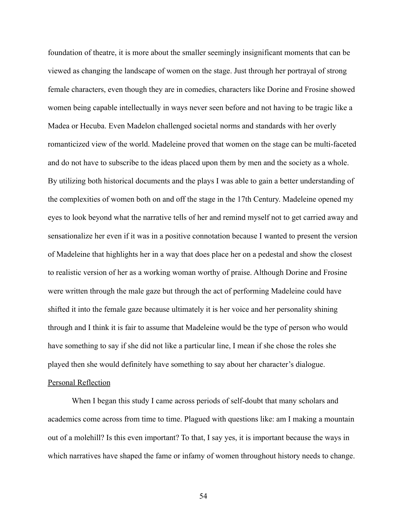foundation of theatre, it is more about the smaller seemingly insignificant moments that can be viewed as changing the landscape of women on the stage. Just through her portrayal of strong female characters, even though they are in comedies, characters like Dorine and Frosine showed women being capable intellectually in ways never seen before and not having to be tragic like a Madea or Hecuba. Even Madelon challenged societal norms and standards with her overly romanticized view of the world. Madeleine proved that women on the stage can be multi-faceted and do not have to subscribe to the ideas placed upon them by men and the society as a whole. By utilizing both historical documents and the plays I was able to gain a better understanding of the complexities of women both on and off the stage in the 17th Century. Madeleine opened my eyes to look beyond what the narrative tells of her and remind myself not to get carried away and sensationalize her even if it was in a positive connotation because I wanted to present the version of Madeleine that highlights her in a way that does place her on a pedestal and show the closest to realistic version of her as a working woman worthy of praise. Although Dorine and Frosine were written through the male gaze but through the act of performing Madeleine could have shifted it into the female gaze because ultimately it is her voice and her personality shining through and I think it is fair to assume that Madeleine would be the type of person who would have something to say if she did not like a particular line, I mean if she chose the roles she played then she would definitely have something to say about her character's dialogue.

# Personal Reflection

When I began this study I came across periods of self-doubt that many scholars and academics come across from time to time. Plagued with questions like: am I making a mountain out of a molehill? Is this even important? To that, I say yes, it is important because the ways in which narratives have shaped the fame or infamy of women throughout history needs to change.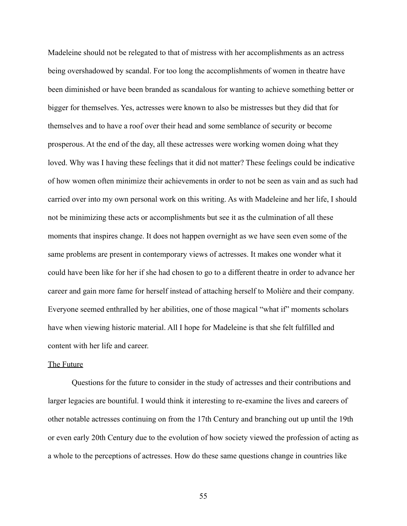Madeleine should not be relegated to that of mistress with her accomplishments as an actress being overshadowed by scandal. For too long the accomplishments of women in theatre have been diminished or have been branded as scandalous for wanting to achieve something better or bigger for themselves. Yes, actresses were known to also be mistresses but they did that for themselves and to have a roof over their head and some semblance of security or become prosperous. At the end of the day, all these actresses were working women doing what they loved. Why was I having these feelings that it did not matter? These feelings could be indicative of how women often minimize their achievements in order to not be seen as vain and as such had carried over into my own personal work on this writing. As with Madeleine and her life, I should not be minimizing these acts or accomplishments but see it as the culmination of all these moments that inspires change. It does not happen overnight as we have seen even some of the same problems are present in contemporary views of actresses. It makes one wonder what it could have been like for her if she had chosen to go to a different theatre in order to advance her career and gain more fame for herself instead of attaching herself to Molière and their company. Everyone seemed enthralled by her abilities, one of those magical "what if" moments scholars have when viewing historic material. All I hope for Madeleine is that she felt fulfilled and content with her life and career.

#### The Future

Questions for the future to consider in the study of actresses and their contributions and larger legacies are bountiful. I would think it interesting to re-examine the lives and careers of other notable actresses continuing on from the 17th Century and branching out up until the 19th or even early 20th Century due to the evolution of how society viewed the profession of acting as a whole to the perceptions of actresses. How do these same questions change in countries like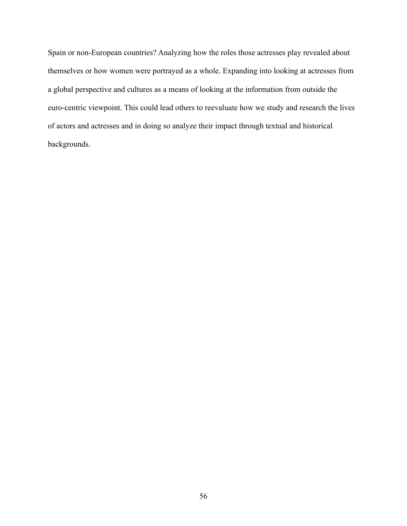Spain or non-European countries? Analyzing how the roles those actresses play revealed about themselves or how women were portrayed as a whole. Expanding into looking at actresses from a global perspective and cultures as a means of looking at the information from outside the euro-centric viewpoint. This could lead others to reevaluate how we study and research the lives of actors and actresses and in doing so analyze their impact through textual and historical backgrounds.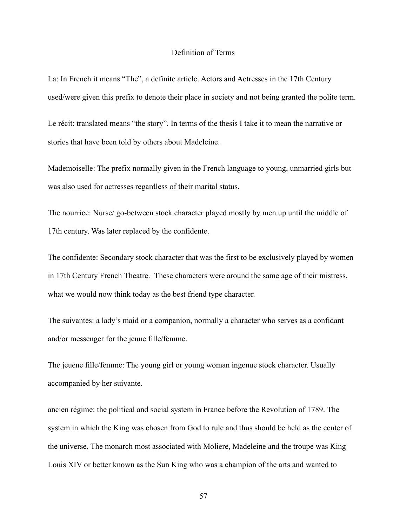# Definition of Terms

La: In French it means "The", a definite article. Actors and Actresses in the 17th Century used/were given this prefix to denote their place in society and not being granted the polite term.

Le récit: translated means "the story". In terms of the thesis I take it to mean the narrative or stories that have been told by others about Madeleine.

Mademoiselle: The prefix normally given in the French language to young, unmarried girls but was also used for actresses regardless of their marital status.

The nourrice: Nurse/ go-between stock character played mostly by men up until the middle of 17th century. Was later replaced by the confidente.

The confidente: Secondary stock character that was the first to be exclusively played by women in 17th Century French Theatre. These characters were around the same age of their mistress, what we would now think today as the best friend type character.

The suivantes: a lady's maid or a companion, normally a character who serves as a confidant and/or messenger for the jeune fille/femme.

The jeuene fille/femme: The young girl or young woman ingenue stock character. Usually accompanied by her suivante.

ancien régime: the political and social system in France before the Revolution of 1789. The system in which the King was chosen from God to rule and thus should be held as the center of the universe. The monarch most associated with Moliere, Madeleine and the troupe was King Louis XIV or better known as the Sun King who was a champion of the arts and wanted to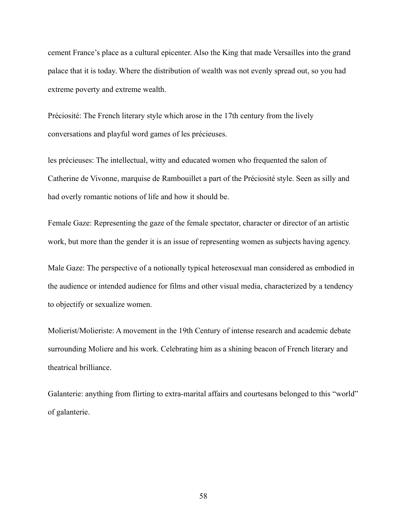cement France's place as a cultural epicenter. Also the King that made Versailles into the grand palace that it is today. Where the distribution of wealth was not evenly spread out, so you had extreme poverty and extreme wealth.

Préciosité: The French literary style which arose in the 17th century from the lively conversations and playful word games of les précieuses.

les précieuses: The intellectual, witty and educated women who frequented the salon of Catherine de Vivonne, marquise de Rambouillet a part of the Préciosité style. Seen as silly and had overly romantic notions of life and how it should be.

Female Gaze: Representing the gaze of the female spectator, character or director of an artistic work, but more than the gender it is an issue of representing women as subjects having agency.

Male Gaze: The perspective of a notionally typical heterosexual man considered as embodied in the audience or intended audience for films and other visual media, characterized by a tendency to objectify or sexualize women.

Molierist/Molieriste: A movement in the 19th Century of intense research and academic debate surrounding Moliere and his work. Celebrating him as a shining beacon of French literary and theatrical brilliance.

Galanterie: anything from flirting to extra-marital affairs and courtesans belonged to this "world" of galanterie.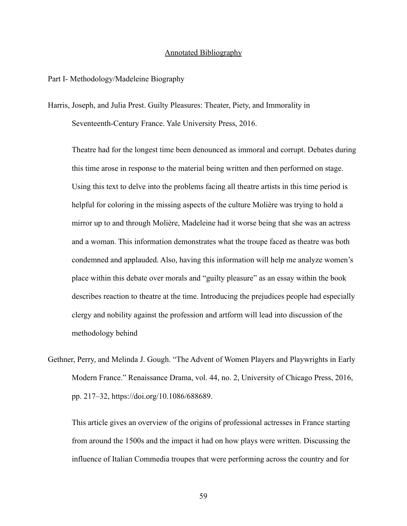# Annotated Bibliography

## Part I- Methodology/Madeleine Biography

Harris, Joseph, and Julia Prest. Guilty Pleasures: Theater, Piety, and Immorality in Seventeenth-Century France. Yale University Press, 2016.

Theatre had for the longest time been denounced as immoral and corrupt. Debates during this time arose in response to the material being written and then performed on stage. Using this text to delve into the problems facing all theatre artists in this time period is helpful for coloring in the missing aspects of the culture Molière was trying to hold a mirror up to and through Molière, Madeleine had it worse being that she was an actress and a woman. This information demonstrates what the troupe faced as theatre was both condemned and applauded. Also, having this information will help me analyze women's place within this debate over morals and "guilty pleasure" as an essay within the book describes reaction to theatre at the time. Introducing the prejudices people had especially clergy and nobility against the profession and artform will lead into discussion of the methodology behind

Gethner, Perry, and Melinda J. Gough. "The Advent of Women Players and Playwrights in Early Modern France." Renaissance Drama, vol. 44, no. 2, University of Chicago Press, 2016, pp. 217–32, https://doi.org/10.1086/688689.

This article gives an overview of the origins of professional actresses in France starting from around the 1500s and the impact it had on how plays were written. Discussing the influence of Italian Commedia troupes that were performing across the country and for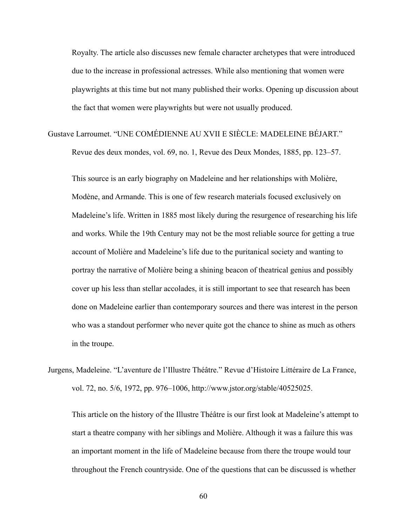Royalty. The article also discusses new female character archetypes that were introduced due to the increase in professional actresses. While also mentioning that women were playwrights at this time but not many published their works. Opening up discussion about the fact that women were playwrights but were not usually produced.

Gustave Larroumet. "UNE COMÉDIENNE AU XVII E SIÈCLE: MADELEINE BÉJART."

Revue des deux mondes, vol. 69, no. 1, Revue des Deux Mondes, 1885, pp. 123–57.

This source is an early biography on Madeleine and her relationships with Molière, Modène, and Armande. This is one of few research materials focused exclusively on Madeleine's life. Written in 1885 most likely during the resurgence of researching his life and works. While the 19th Century may not be the most reliable source for getting a true account of Molière and Madeleine's life due to the puritanical society and wanting to portray the narrative of Molière being a shining beacon of theatrical genius and possibly cover up his less than stellar accolades, it is still important to see that research has been done on Madeleine earlier than contemporary sources and there was interest in the person who was a standout performer who never quite got the chance to shine as much as others in the troupe.

Jurgens, Madeleine. "L'aventure de l'Illustre Théâtre." Revue d'Histoire Littéraire de La France, vol. 72, no. 5/6, 1972, pp. 976–1006, http://www.jstor.org/stable/40525025.

This article on the history of the Illustre Théâtre is our first look at Madeleine's attempt to start a theatre company with her siblings and Molière. Although it was a failure this was an important moment in the life of Madeleine because from there the troupe would tour throughout the French countryside. One of the questions that can be discussed is whether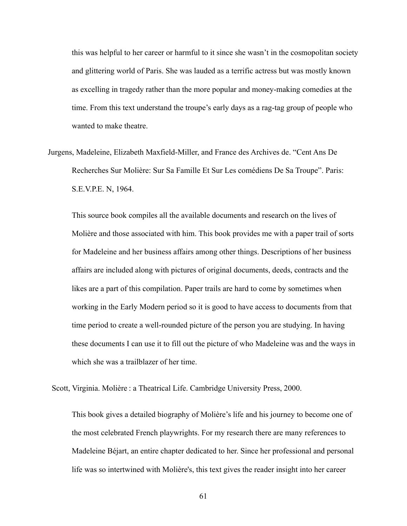this was helpful to her career or harmful to it since she wasn't in the cosmopolitan society and glittering world of Paris. She was lauded as a terrific actress but was mostly known as excelling in tragedy rather than the more popular and money-making comedies at the time. From this text understand the troupe's early days as a rag-tag group of people who wanted to make theatre.

Jurgens, Madeleine, Elizabeth Maxfield-Miller, and France des Archives de. "Cent Ans De Recherches Sur Molière: Sur Sa Famille Et Sur Les comédiens De Sa Troupe". Paris: S.E.V.P.E. N, 1964.

This source book compiles all the available documents and research on the lives of Molière and those associated with him. This book provides me with a paper trail of sorts for Madeleine and her business affairs among other things. Descriptions of her business affairs are included along with pictures of original documents, deeds, contracts and the likes are a part of this compilation. Paper trails are hard to come by sometimes when working in the Early Modern period so it is good to have access to documents from that time period to create a well-rounded picture of the person you are studying. In having these documents I can use it to fill out the picture of who Madeleine was and the ways in which she was a trailblazer of her time.

Scott, Virginia. Molière : a Theatrical Life. Cambridge University Press, 2000.

This book gives a detailed biography of Molière's life and his journey to become one of the most celebrated French playwrights. For my research there are many references to Madeleine Béjart, an entire chapter dedicated to her. Since her professional and personal life was so intertwined with Molière's, this text gives the reader insight into her career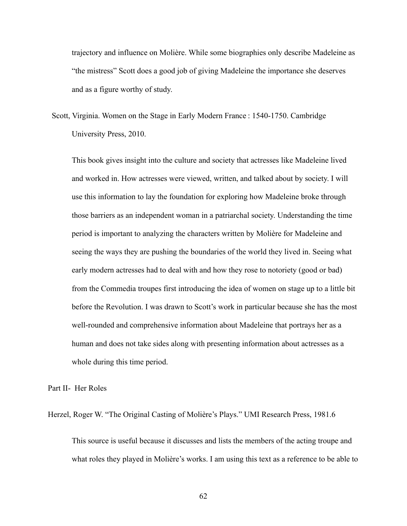trajectory and influence on Molière. While some biographies only describe Madeleine as "the mistress" Scott does a good job of giving Madeleine the importance she deserves and as a figure worthy of study.

Scott, Virginia. Women on the Stage in Early Modern France : 1540-1750. Cambridge University Press, 2010.

This book gives insight into the culture and society that actresses like Madeleine lived and worked in. How actresses were viewed, written, and talked about by society. I will use this information to lay the foundation for exploring how Madeleine broke through those barriers as an independent woman in a patriarchal society. Understanding the time period is important to analyzing the characters written by Molière for Madeleine and seeing the ways they are pushing the boundaries of the world they lived in. Seeing what early modern actresses had to deal with and how they rose to notoriety (good or bad) from the Commedia troupes first introducing the idea of women on stage up to a little bit before the Revolution. I was drawn to Scott's work in particular because she has the most well-rounded and comprehensive information about Madeleine that portrays her as a human and does not take sides along with presenting information about actresses as a whole during this time period.

Part II- Her Roles

Herzel, Roger W. "The Original Casting of Molière's Plays." UMI Research Press, 1981.6

This source is useful because it discusses and lists the members of the acting troupe and what roles they played in Molière's works. I am using this text as a reference to be able to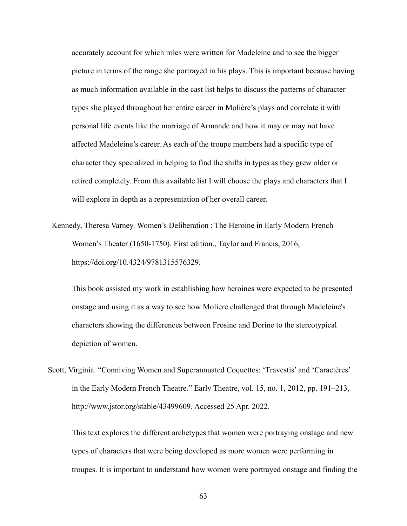accurately account for which roles were written for Madeleine and to see the bigger picture in terms of the range she portrayed in his plays. This is important because having as much information available in the cast list helps to discuss the patterns of character types she played throughout her entire career in Molière's plays and correlate it with personal life events like the marriage of Armande and how it may or may not have affected Madeleine's career. As each of the troupe members had a specific type of character they specialized in helping to find the shifts in types as they grew older or retired completely. From this available list I will choose the plays and characters that I will explore in depth as a representation of her overall career.

Kennedy, Theresa Varney. Women's Deliberation : The Heroine in Early Modern French Women's Theater (1650-1750). First edition., Taylor and Francis, 2016, https://doi.org/10.4324/9781315576329.

This book assisted my work in establishing how heroines were expected to be presented onstage and using it as a way to see how Moliere challenged that through Madeleine's characters showing the differences between Frosine and Dorine to the stereotypical depiction of women.

Scott, Virginia. "Conniving Women and Superannuated Coquettes: 'Travestis' and 'Caractères' in the Early Modern French Theatre." Early Theatre, vol. 15, no. 1, 2012, pp. 191–213, http://www.jstor.org/stable/43499609. Accessed 25 Apr. 2022.

This text explores the different archetypes that women were portraying onstage and new types of characters that were being developed as more women were performing in troupes. It is important to understand how women were portrayed onstage and finding the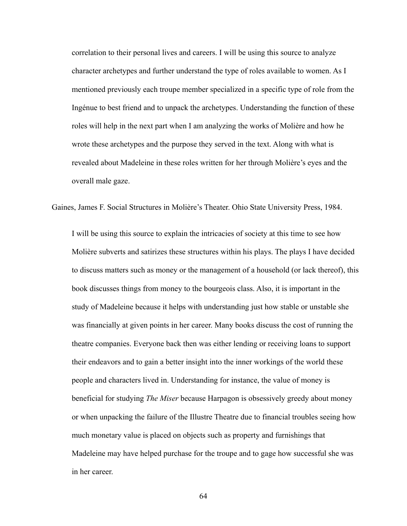correlation to their personal lives and careers. I will be using this source to analyze character archetypes and further understand the type of roles available to women. As I mentioned previously each troupe member specialized in a specific type of role from the Ingénue to best friend and to unpack the archetypes. Understanding the function of these roles will help in the next part when I am analyzing the works of Molière and how he wrote these archetypes and the purpose they served in the text. Along with what is revealed about Madeleine in these roles written for her through Molière's eyes and the overall male gaze.

Gaines, James F. Social Structures in Molière's Theater. Ohio State University Press, 1984.

I will be using this source to explain the intricacies of society at this time to see how Molière subverts and satirizes these structures within his plays. The plays I have decided to discuss matters such as money or the management of a household (or lack thereof), this book discusses things from money to the bourgeois class. Also, it is important in the study of Madeleine because it helps with understanding just how stable or unstable she was financially at given points in her career. Many books discuss the cost of running the theatre companies. Everyone back then was either lending or receiving loans to support their endeavors and to gain a better insight into the inner workings of the world these people and characters lived in. Understanding for instance, the value of money is beneficial for studying *The Miser* because Harpagon is obsessively greedy about money or when unpacking the failure of the Illustre Theatre due to financial troubles seeing how much monetary value is placed on objects such as property and furnishings that Madeleine may have helped purchase for the troupe and to gage how successful she was in her career.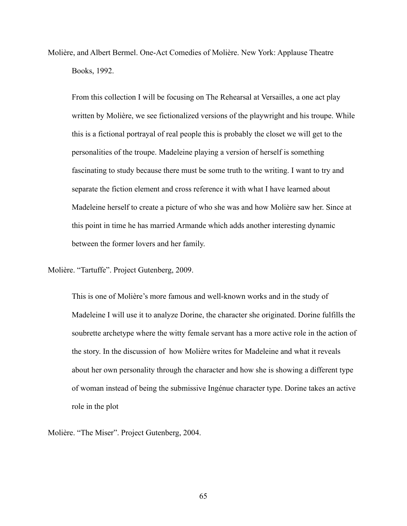Molière, and Albert Bermel. One-Act Comedies of Molière. New York: Applause Theatre Books, 1992.

From this collection I will be focusing on The Rehearsal at Versailles, a one act play written by Molière, we see fictionalized versions of the playwright and his troupe. While this is a fictional portrayal of real people this is probably the closet we will get to the personalities of the troupe. Madeleine playing a version of herself is something fascinating to study because there must be some truth to the writing. I want to try and separate the fiction element and cross reference it with what I have learned about Madeleine herself to create a picture of who she was and how Molière saw her. Since at this point in time he has married Armande which adds another interesting dynamic between the former lovers and her family.

Molière. "Tartuffe". Project Gutenberg, 2009.

This is one of Molière's more famous and well-known works and in the study of Madeleine I will use it to analyze Dorine, the character she originated. Dorine fulfills the soubrette archetype where the witty female servant has a more active role in the action of the story. In the discussion of how Molière writes for Madeleine and what it reveals about her own personality through the character and how she is showing a different type of woman instead of being the submissive Ingénue character type. Dorine takes an active role in the plot

Molière. "The Miser". Project Gutenberg, 2004.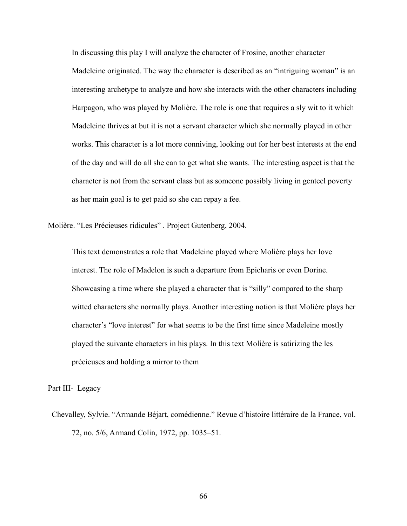In discussing this play I will analyze the character of Frosine, another character Madeleine originated. The way the character is described as an "intriguing woman" is an interesting archetype to analyze and how she interacts with the other characters including Harpagon, who was played by Molière. The role is one that requires a sly wit to it which Madeleine thrives at but it is not a servant character which she normally played in other works. This character is a lot more conniving, looking out for her best interests at the end of the day and will do all she can to get what she wants. The interesting aspect is that the character is not from the servant class but as someone possibly living in genteel poverty as her main goal is to get paid so she can repay a fee.

Molière. "Les Précieuses ridicules" . Project Gutenberg, 2004.

This text demonstrates a role that Madeleine played where Molière plays her love interest. The role of Madelon is such a departure from Epicharis or even Dorine. Showcasing a time where she played a character that is "silly" compared to the sharp witted characters she normally plays. Another interesting notion is that Molière plays her character's "love interest" for what seems to be the first time since Madeleine mostly played the suivante characters in his plays. In this text Molière is satirizing the les précieuses and holding a mirror to them

Part III- Legacy

Chevalley, Sylvie. "Armande Béjart, comédienne." Revue d'histoire littéraire de la France, vol. 72, no. 5/6, Armand Colin, 1972, pp. 1035–51.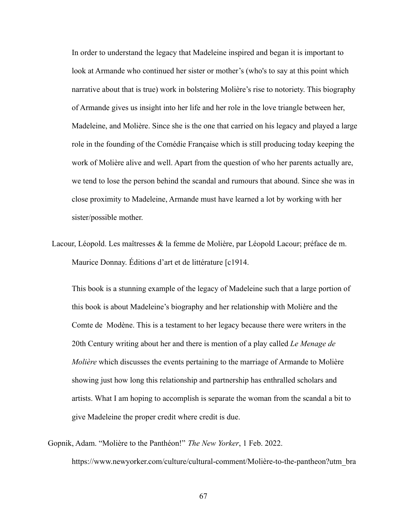In order to understand the legacy that Madeleine inspired and began it is important to look at Armande who continued her sister or mother's (who's to say at this point which narrative about that is true) work in bolstering Molière's rise to notoriety. This biography of Armande gives us insight into her life and her role in the love triangle between her, Madeleine, and Molière. Since she is the one that carried on his legacy and played a large role in the founding of the Comédie Française which is still producing today keeping the work of Molière alive and well. Apart from the question of who her parents actually are, we tend to lose the person behind the scandal and rumours that abound. Since she was in close proximity to Madeleine, Armande must have learned a lot by working with her sister/possible mother.

Lacour, Léopold. Les maîtresses & la femme de Molière, par Léopold Lacour; préface de m. Maurice Donnay. Éditions d'art et de littérature [c1914.

This book is a stunning example of the legacy of Madeleine such that a large portion of this book is about Madeleine's biography and her relationship with Molière and the Comte de Modène. This is a testament to her legacy because there were writers in the 20th Century writing about her and there is mention of a play called *Le Menage de Molière* which discusses the events pertaining to the marriage of Armande to Molière showing just how long this relationship and partnership has enthralled scholars and artists. What I am hoping to accomplish is separate the woman from the scandal a bit to give Madeleine the proper credit where credit is due.

Gopnik, Adam. "Molière to the Panthéon!" *The New Yorker*, 1 Feb. 2022. https://www.newyorker.com/culture/cultural-comment/Molière-to-the-pantheon?utm\_bra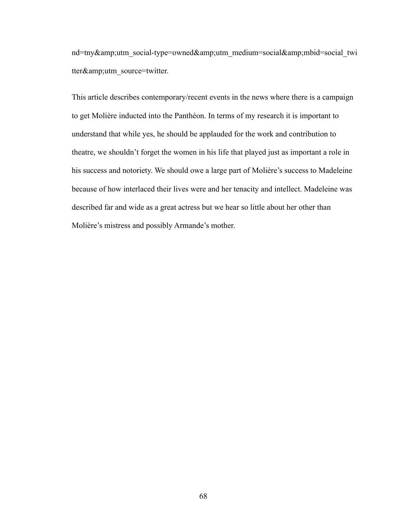nd=tny&utm\_social-type=owned&utm\_medium=social&mbid=social\_twi tter&utm\_source=twitter.

This article describes contemporary/recent events in the news where there is a campaign to get Molière inducted into the Panthéon. In terms of my research it is important to understand that while yes, he should be applauded for the work and contribution to theatre, we shouldn't forget the women in his life that played just as important a role in his success and notoriety. We should owe a large part of Molière's success to Madeleine because of how interlaced their lives were and her tenacity and intellect. Madeleine was described far and wide as a great actress but we hear so little about her other than Molière's mistress and possibly Armande's mother.